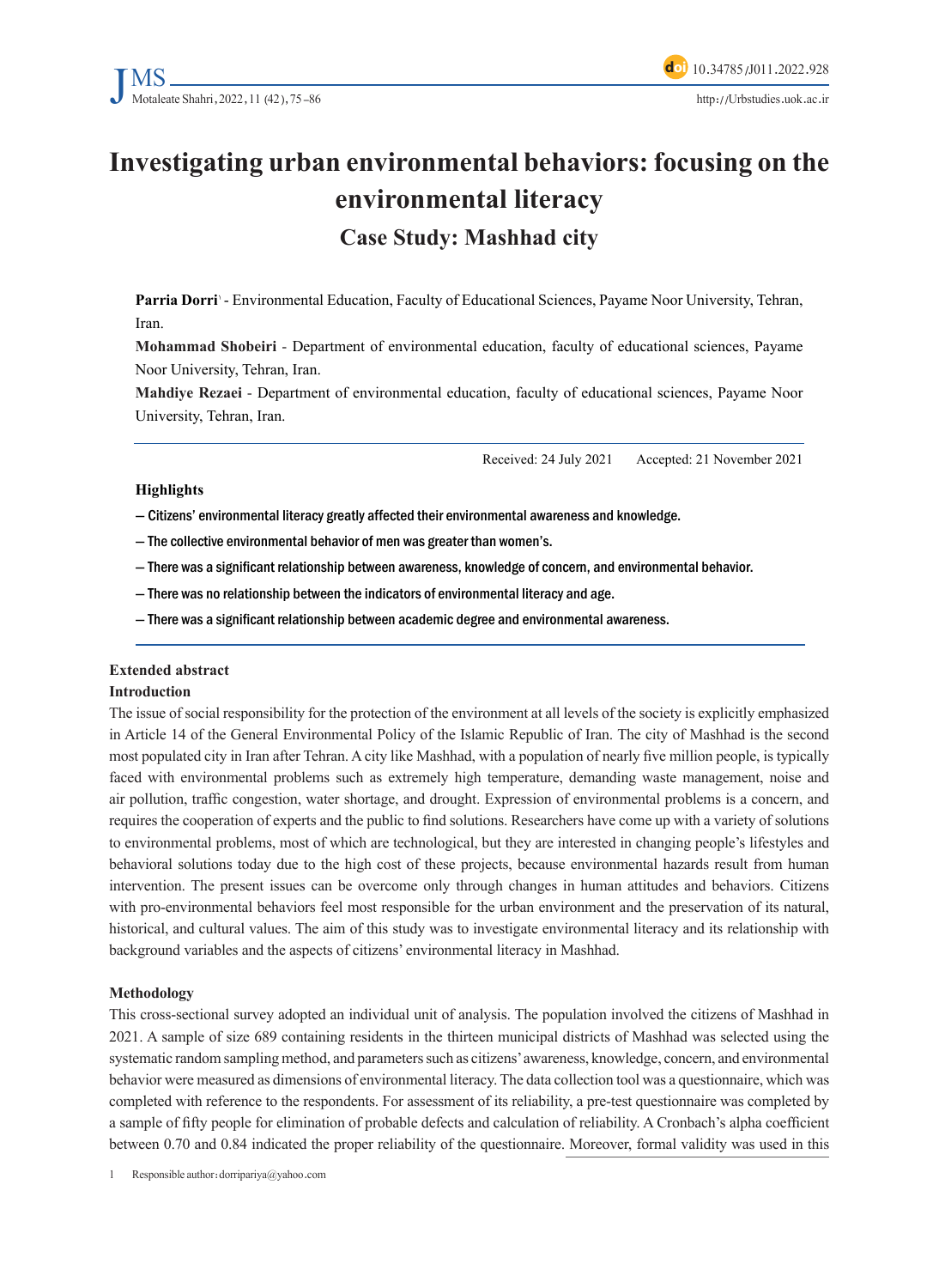# **Investigating urban environmental behaviors: focusing on the environmental literacy Case Study: Mashhad city**

Parria Dorri *P* Environmental Education, Faculty of Educational Sciences, Payame Noor University, Tehran, .Iran

**Mohammad Shobeiri - Department of environmental education, faculty of educational sciences, Payame** Noor University, Tehran, Iran.

Mahdiye Rezaei - Department of environmental education, faculty of educational sciences, Payame Noor University, Tehran, Iran.

Received: 24 July 2021 Accepted: 21 November 2021

#### **Highlights**

- Citizens' environmental literacy greatly affected their environmental awareness and knowledge.

 $-$  The collective environmental behavior of men was greater than women's.

- There was a significant relationship between awareness, knowledge of concern, and environmental behavior.

- There was no relationship between the indicators of environmental literacy and age.

- There was a significant relationship between academic degree and environmental awareness.

### **Extended** abstract

#### **Introduction**

The issue of social responsibility for the protection of the environment at all levels of the society is explicitly emphasized in Article 14 of the General Environmental Policy of the Islamic Republic of Iran. The city of Mashhad is the second most populated city in Iran after Tehran. A city like Mashhad, with a population of nearly five million people, is typically faced with environmental problems such as extremely high temperature, demanding waste management, noise and air pollution, traffic congestion, water shortage, and drought. Expression of environmental problems is a concern, and requires the cooperation of experts and the public to find solutions. Researchers have come up with a variety of solutions to environmental problems, most of which are technological, but they are interested in changing people's lifestyles and behavioral solutions today due to the high cost of these projects, because environmental hazards result from human intervention. The present issues can be overcome only through changes in human attitudes and behaviors. Citizens with pro-environmental behaviors feel most responsible for the urban environment and the preservation of its natural, historical, and cultural values. The aim of this study was to investigate environmental literacy and its relationship with background variables and the aspects of citizens' environmental literacy in Mashhad.

#### **Methodology**

This cross-sectional survey adopted an individual unit of analysis. The population involved the citizens of Mashhad in 2021. A sample of size 689 containing residents in the thirteen municipal districts of Mashhad was selected using the systematic random sampling method, and parameters such as citizens' awareness, knowledge, concern, and environmental behavior were measured as dimensions of environmental literacy. The data collection tool was a questionnaire, which was completed with reference to the respondents. For assessment of its reliability, a pre-test questionnaire was completed by a sample of fifty people for elimination of probable defects and calculation of reliability. A Cronbach's alpha coefficient between 0.70 and 0.84 indicated the proper reliability of the questionnaire. Moreover, formal validity was used in this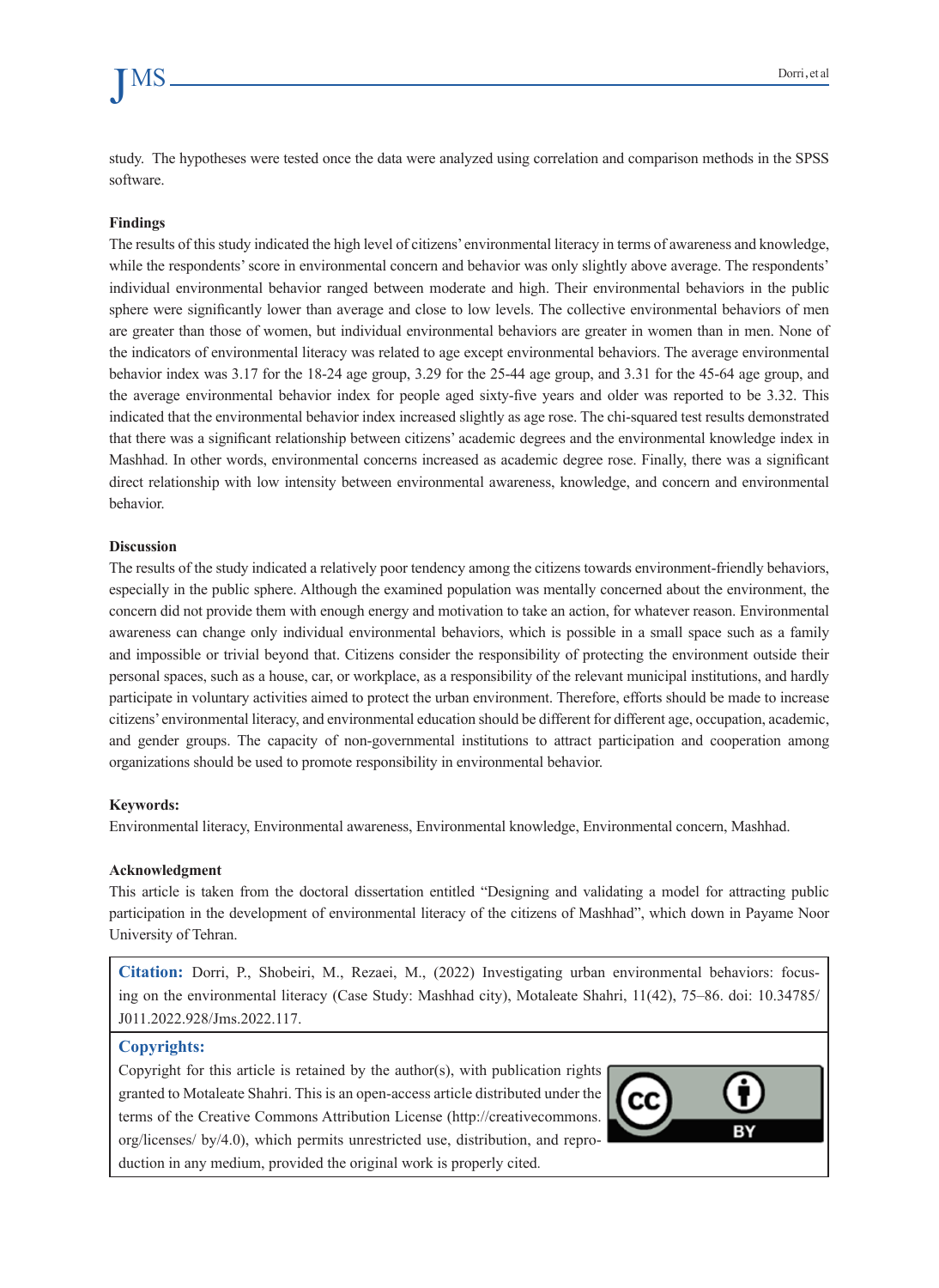study. The hypotheses were tested once the data were analyzed using correlation and comparison methods in the SPSS software.

#### **Findings**

The results of this study indicated the high level of citizens' environmental literacy in terms of awareness and knowledge, while the respondents' score in environmental concern and behavior was only slightly above average. The respondents' individual environmental behavior ranged between moderate and high. Their environmental behaviors in the public sphere were significantly lower than average and close to low levels. The collective environmental behaviors of men are greater than those of women, but individual environmental behaviors are greater in women than in men. None of the indicators of environmental literacy was related to age except environmental behaviors. The average environmental behavior index was  $3.17$  for the  $18-24$  age group,  $3.29$  for the  $25-44$  age group, and  $3.31$  for the 45-64 age group, and the average environmental behavior index for people aged sixty-five years and older was reported to be 3.32. This indicated that the environmental behavior index increased slightly as age rose. The chi-squared test results demonstrated that there was a significant relationship between citizens' academic degrees and the environmental knowledge index in Mashhad. In other words, environmental concerns increased as academic degree rose. Finally, there was a significant direct relationship with low intensity between environmental awareness, knowledge, and concern and environmental .behavior

#### **Discussion**

The results of the study indicated a relatively poor tendency among the citizens towards environment-friendly behaviors, especially in the public sphere. Although the examined population was mentally concerned about the environment, the concern did not provide them with enough energy and motivation to take an action, for whatever reason. Environmental awareness can change only individual environmental behaviors, which is possible in a small space such as a family and impossible or trivial beyond that. Citizens consider the responsibility of protecting the environment outside their personal spaces, such as a house, car, or workplace, as a responsibility of the relevant municipal institutions, and hardly participate in voluntary activities aimed to protect the urban environment. Therefore, efforts should be made to increase citizens' environmental literacy, and environmental education should be different for different age, occupation, academic, and gender groups. The capacity of non-governmental institutions to attract participation and cooperation among organizations should be used to promote responsibility in environmental behavior.

#### **:Keywords**

Environmental literacy, Environmental awareness, Environmental knowledge, Environmental concern, Mashhad.

#### **Acknowledgment**

This article is taken from the doctoral dissertation entitled "Designing and validating a model for attracting public participation in the development of environmental literacy of the citizens of Mashhad", which down in Payame Noor University of Tehran.

ing on the environmental literacy (Case Study: Mashhad city), Motaleate Shahri, 11(42), 75–86. doi: 10.34785/ **Citation:** Dorri, P., Shobeiri, M., Rezaei, M., (2022) Investigating urban environmental behaviors: focus-J011.2022.928/Jms.2022.117.

#### **:Copyrights**

Copyright for this article is retained by the author(s), with publication rights granted to Motaleate Shahri. This is an open-access article distributed under the terms of the Creative Commons Attribution License (http://creativecommons. org/licenses/ by/4.0), which permits unrestricted use, distribution, and reproduction in any medium, provided the original work is properly cited.

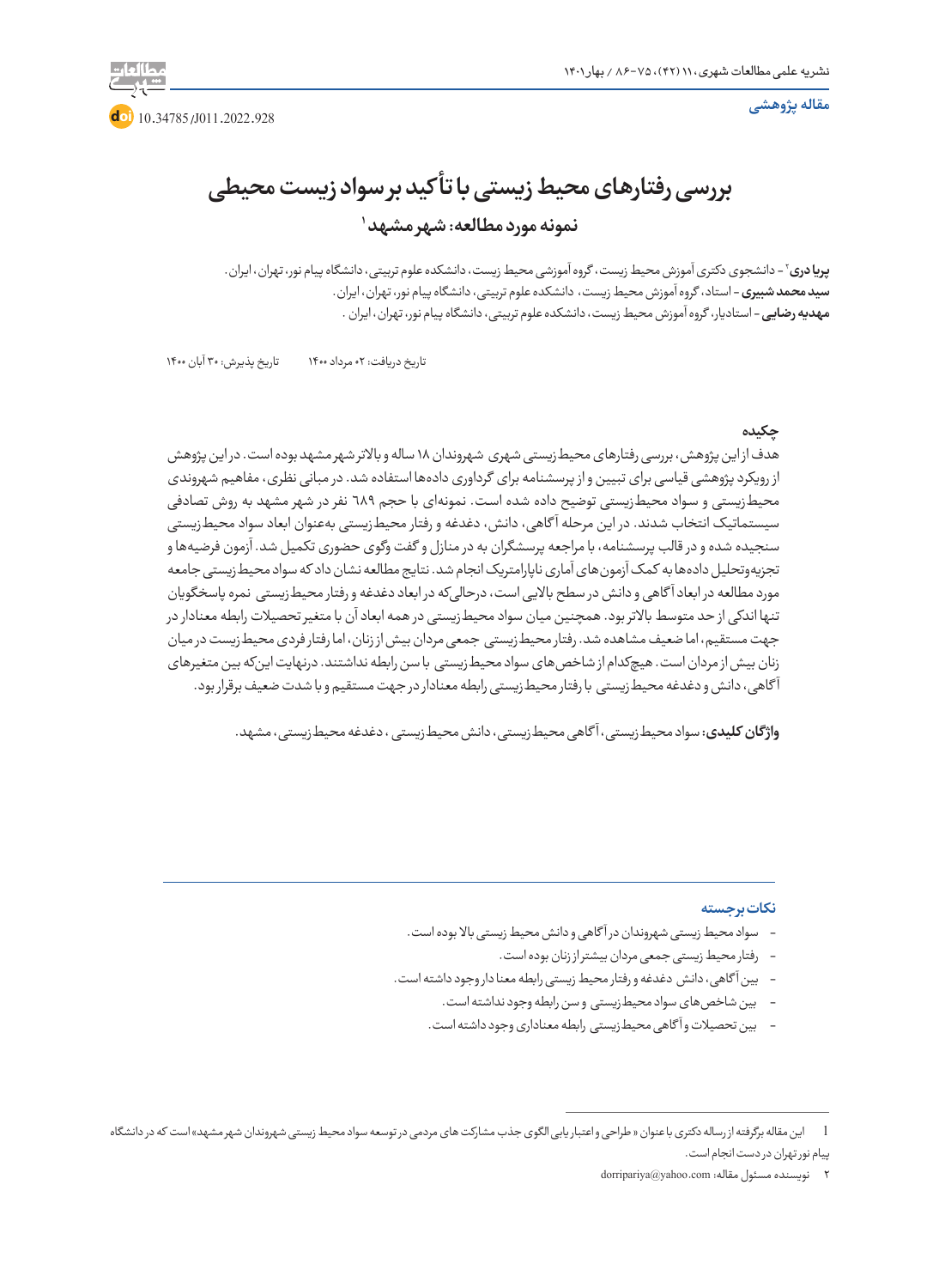**مقاله پژوهشی**



**بررسی رفتارهای محیط زیستی با تأ کید بر سواد زیست محیطی 1 نمونه مورد مطالعه: شهر مشهد** 

2 - دانشجوی دکتری آموزش محیط زیست، گروه آموزشی محیط زیست، دانشکده علوم تربیتی، دانشگاه پیام نور، تهران، ایران. **پریا دری سید محمد شبیری** - استاد، گروه آموزش محیط زیست، دانشکده علوم تربیتی، دانشگاه پیام نور، تهران، ایران. **مهدیه رضایی** - استادیار، گروه آموزش محیط زیست، دانشکده علوم تربیتی، دانشگاه پیام نور، تهران، ایران .

تاریخ دریافت: 02 مرداد 1400 تاریخ پذیرش: 30 آبان 1400

### **چکیده**

هدف از این پژوهش، بررسی رفتارهای محیطزیستی شهری شهروندان 18 ساله و باالتر شهر مشهد بوده است. در این پژوهش از رویکرد پژوهشی قیاسی برای تبیین و از پرسشنامه برای گرداوری دادهها استفاده شد. در مبانی نظری، مفاهیم شهروندی محیطزیستی و سواد محیطزیستی توضیح داده شده است. نمونهای با حجم ٦٨٩ نفر در شهر مشهد به روش تصادفی سیستماتیک انتخاب شدند. در این مرحله آ گاهی، دانش، دغدغه و رفتار محیطزیستی بهعنوان ابعاد سواد محیطزیستی سنجیده شده و در قالب پرسشنامه، با مراجعه پرسشگران به در منازل و گفت وگوی حضوری تکمیل شد. آزمون فرضیهها و تجزیهوتحلیل دادهها به کمک آزمونهای آماری ناپارامتریک انجام شد. نتایج مطالعه نشان داد که سواد محیطزیستی جامعه مورد مطالعه در ابعاد آ گاهی و دانش در سطح باالیی است، درحالیکه در ابعاد دغدغه و رفتار محیطزیستی نمره پاسخگویان تنها اندکی از حد متوسط باالتر بود. همچنین میان سواد محیطزیستی در همه ابعاد آن با متغیر تحصیالت رابطه معنادار در جهت مستقیم، اما ضعیف مشاهده شد. رفتار محیطزیستی جمعی مردان بیش از زنان، اما رفتار فردی محیطزیست در میان زنان بیش از مردان است. هیچکدام از شاخصهای سواد محیطزیستی با سن رابطه نداشتند. درنهایت اینکه بین متغیرهای آ گاهی، دانش و دغدغه محیطزیستی با رفتار محیطزیستی رابطه معنادار در جهت مستقیم و با شدت ضعیف برقرار بود.

**واژ گان کلیدی:** سواد محیطزیستی، آ گاهی محیطزیستی، دانش محیطزیستی ، دغدغه محیطزیستی،مشهد.

#### **نکات برجسته**

- سواد محیط زیستی شهروندان در آ گاهی و دانش محیط زیستی باال بوده است.
	- رفتار محیط زیستی جمعی مردان بیشتر از زنان بوده است.
- بین آ گاهی، دانش دغدغه و رفتار محیط زیستی رابطه معنا دار وجود داشته است.
	- بین شاخصهای سواد محیطزیستی و سن رابطه وجود نداشته است.
	- بین تحصیالت و آ گاهی محیطزیستی رابطه معناداری وجود داشته است.

پیام نور تهران در دست انجام است.

<sup>1</sup> این مقاله برگرفته از رساله دکتری با عنوان » طراحی واعتبار یابی الگوی جذب مشارکت های مردمی در توسعه سواد محیط زیستی شهروندان شهر مشهد« است که در دانشگاه

<sup>2</sup> نویسنده مسئول مقاله:com.yahoo@dorripariya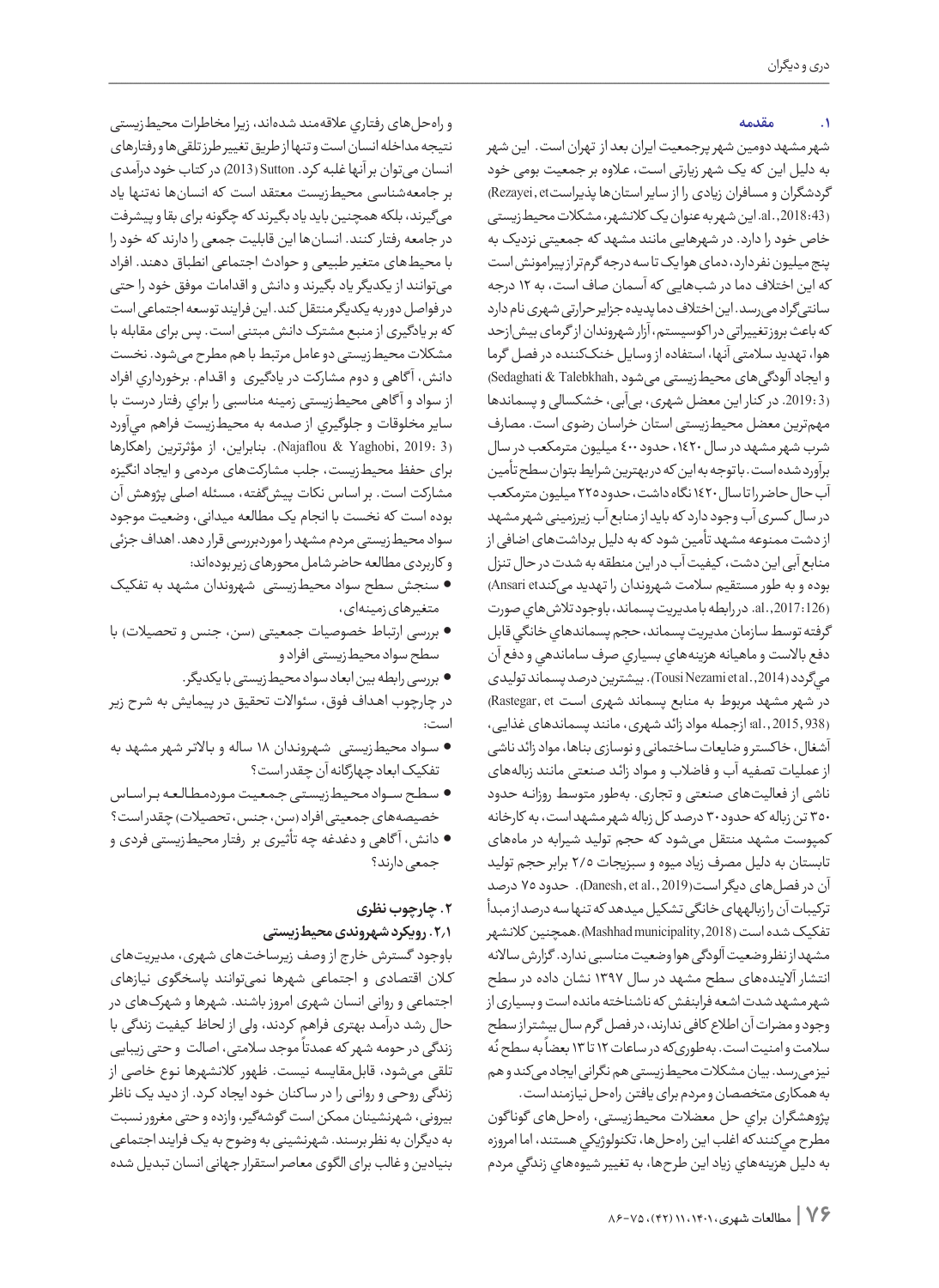### **.1 مقدمه**

شهر مشهد دومین شهر پرجمعیت ایران بعد از تهران است. این شهر به دلیل این که یک شهر زیارتی اســت، عــاوه بر جمعیت بومی خود گردشگران و مسافران زیادی را از سایر استانها پذیراستRezayei, et (43 2018: .,al. این شهر به عنوان یک کالنشهر، مشکالت محیطزیستی خاص خود را دارد. در شهرهایی مانند مشهد که جمعیتی نزدیک به پنج میلیون نفر دارد، دمای هوا یک تا سه درجه گرمتر از پیرامونش است که این اختالف دما در شبهایی که آسمان صاف است، به 12 درجه سانتیگراد میرسد. این اختالف دما پدیده جزایر حرارتی شهری نام دارد که باعث بروز تغییراتی در ا کوسیستم، آزار شهروندان از گرمای بیشازحد هوا، تهدید سالمتی آنها، استفاده از وسایل خنککننده در فصل گرما و ایجاد آلودگیهای محیطزیستی میشود ,Talebkhah & Sedaghati( (3 .2019: در کنار این معضل شهری، بیآبی، خشکسالی و پسماندها مهمترین معضل محیطزیستی استان خراسان رضوی است. مصارف شرب شهر مشهد در سال ،1420 حدود 400 میلیون مترمکعب در سال برآورد شده است. با توجه به این که در بهترین شرایط بتوان سطح تأمین آب حال حاضر را تا سال 1420 نگاه داشت، حدود 225 میلیون مترمکعب در سال کسری آب وجود دارد که باید از منابع آب زیرزمینی شهر مشهد از دشت ممنوعه مشهد تأمین شود که به دلیل برداشتهای اضافی از منابع آبی این دشت، کیفیت آب در این منطقه به شدت در حال تنزل بوده و به طور مستقیم سلامت شهروندان را تهدید میکندAnsari et) (126 2017: .,al. در رابطه با مدیریت پسماند، باوجود تالشهاي صورت گرفته توسط سازمان مديريت پسماند، حجم پسماندهاي خانگي قابل دفع باالست و ماهيانه هزينههاي بسياري صرف ساماندهي و دفع آن ميگردد (2014 .,al et Nezami Tousi(. بیشترین درصد پسماند تولیدی در شهر مشهد مربوط به منابع پسماند شهری است Rastegar, et) (938 2015, .,al؛ ازجمله مواد زائد شهری، مانند پسماندهای غذایی، آشغال، خا کستر و ضایعات ساختمانی و نوسازی بناها، مواد زائد ناشی از عملیات تصفیه آب و فاضالب و مــواد زائــد صنعتی مانند زبالههای ناشی از فعالیتهای صنعتی و تجاری. بهطور متوسط روزانــه حدود 350 تن زباله که حدود 30 درصد کل زباله شهر مشهد است، به کارخانه کمپوست مشهد منتقل میشود که حجم تولید شیرابه در ماههای تابستان به دلیل مصرف زیاد میوه و سبزیجات 2/5 برابر حجم تولید آن در فصلهای دیگر اســت(2019 .,al et ,Danesh(. حدود 75 درصد ترکیبات آن را زبالههای خانگی تشکیل میدهد که تنها سه درصد از مبدأ تفکیک شده است (2018 ,municipality Mashhad(.همچنین کالنشهر مشهد از نظر وضعیت آلودگی هوا وضعیت مناسبی ندارد. گزارش ساالنه انتشار آلایندههای سطح مشهد در سال ۱۳۹۷ نشان داده در سطح شهر مشهد شدت اشعه فرابنفش که ناشناخته مانده است و بسیاری از وجود و مضرات آن اطالع کافی ندارند، در فصل گرم سال بیشتر از سطح ُه ً به سطح ن سالمت و امنیت است. بهطوریکه در ساعات 12 تا 13 بعضا نیز میرسد. بیان مشکالت محیطزیستی هم نگرانی ایجاد میکند و هم به همکاری متخصصان و مردم برای یافتن راهحل نیازمند است. پژوهشگران براي حل معضالت محیطزیستی، راهحلهای گونا گون

مطرح ميكنند كه اغلب اين راهحل ها، تكنولوژيكي هستند، اما امروزه به دليل هزينههاي زياد اين طرحها، به تغییر شيوههاي زندگي مردم

وراهحلهای رفتاري عالقهمند شدهاند، زیرا مخاطرات محیطزیستی نتیجه مداخله انسان است و تنها از طریق تغییر طرز تلقیها و رفتارهای انسان میتوان بر آنها غلبه کرد. Sutton) 2013 (در کتاب خود درآمدی بر جامعهشناسی محیطزیست معتقد است که انسانها نهتنها یاد میگیرند، بلکه همچنین باید یاد بگیرند که چگونه برای بقا و پیشرفت در جامعه رفتار کنند. انسانها این قابلیت جمعی را دارند که خود را با محیطهای متغیر طبیعی و حوادث اجتماعی انطباق دهند. افراد میتوانند از یکدیگر یاد بگیرند و دانش و اقدامات موفق خود را حتی در فواصل دور به یکدیگر منتقل کند. این فرایند توسعه اجتماعی است که بر یادگیری از منبع مشترک دانش مبتنی است. پس برای مقابله با مشکالت محیطزیستی دو عامل مرتبط با هم مطرح میشود. نخست دانش، آ گاهی و دوم مشارکت در یادگیری و اق�دام. برخورداري افراد از سواد و آ گاهی محیطزیستی زمینه مناسبی را براي رفتار درست با ساير مخلوقات و جلوگيري از صدمه به محیطزیست فراهم ميآورد (3 2019: ,Yaghobi & Najaflou(. بنابراین، از مؤثرترین راهکارها برای حفظ محیطزیست، جلب مشارکتهای مردمی و ایجاد انگیزه مشارکت است. بر اساس نکات پیشگفته، مسئله اصلی پژوهش آن بوده است که نخست با انجام یک مطالعه میدانی، وضعیت موجود سواد محیطزیستی مردم مشهد را موردبررسی قرار دهد. اهداف جزئی و کاربردی مطالعه حاضر شامل محورهای زیر بودهاند:

- •سنجش سطح سواد محیطزیستی شهروندان مشهد به تفکیک متغیرهای زمینهای،
- •بررسی ارتباط خصوصیات جمعیتی )سن، جنس و تحصیالت( با سطح سواد محیطزیستی افراد و
	- •بررسی رابطه بین ابعاد سواد محیطزیستی با یکدیگر.

در چارچوب اهــداف فوق، سئواالت تحقیق در پیمایش به شرح زیر است:

- •ســواد محیطزیستی شــهــرونــدان 18 ساله و بــاالتــر شهر مشهد به تفکیک ابعاد چهارگانه آن چقدر است؟
- •ســطــح ســــواد مــحــیــطزیــســتــی جــمــعــیــت مــوردمــطــالــعــه بـــر اســـاس خصیصههای جمعیتی افراد (سن، جنس، تحصیلات) چقدر است؟
- •دانش، آ گاهی و دغدغه چه تأثیری بر رفتار محیطزیستی فردی و جمعی دارند؟

### **.2 چارچوب نظری .2.1 رویکرد شهروندی محیطزیستی**

باوجود گسترش خارج از وصف زیرساختهای شهری، مدیریتهای کــان اقتصادی و اجتماعی شهرها نمیتوانند پاسخگوی نیازهای اجتماعی و روانی انسان شهری امروز باشند. شهرها و شهرکهای در حال رشد درآمــد بهتری فراهم کردند، ولی از لحاظ کیفیت زندگی با ن ر مسیح سال در سال را در موجد سلامتی، اصالت و حتی زیبایی<br>زندگی در حومه شهر که عمدتاً موجد سلامتی، اصالت و حتی زیبایی تلقی میشود، قابلمقایسه نیست. ظهور کالنشهرها نــوع خاصی از زندگی روحــی و روانــی را در سا کنان خــود ایجاد کــرد. از دیــد یک ناظر بیرونی، شهرنشینان ممکن است گوشهگیر، وازده و حتی مغرور نسبت به دیگران به نظر برسند. شهرنشینی به وضوح به یک فرایند اجتماعی بنیادین و غالب برای الگوی معاصر استقرار جهانی انسان تبدیل شده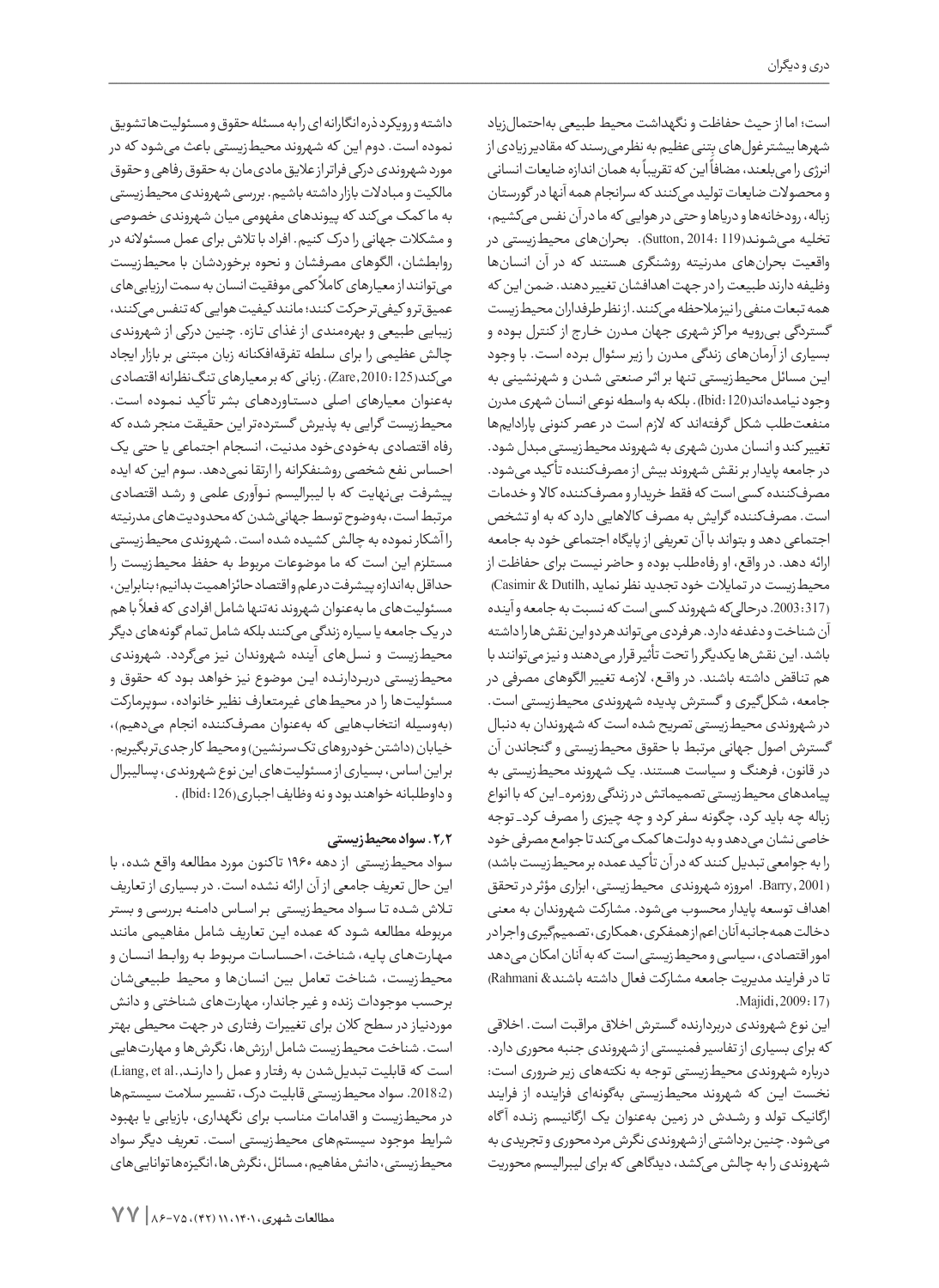است؛ اما از حیث حفاظت و نگهداشت محیط طبیعی بهاحتمالزیاد شهرها بیشتر غول های بِتنی عظیم به نظر میرسند که مقادیر زیادی از . د ...<br>نرژی را میبلعند، مضافاً این که تقریباً به همان اندازه ضایعات انسانی و محصوالت ضایعات تولید میکنند که سرانجام همه آنها در گورستان زباله، رودخانهها و دریاها و حتی در هوایی که ما در آن نفس میکشیم، تخلیه میشوند(119 :Sutton, 2014). بحرانهای محیطزیستی در واقعیت بحرانهای مدرنیته روشنگری هستند که در آن انسانها وظیفه دارند طبیعت را در جهت اهدافشان تغییر دهند. ضمن این که همه تبعات منفی را نیز مالحظه میکنند. از نظر طرفداران محیطزیست گستردگی بــیرویــه مرا کز شهری جهان مــدرن خــار ج از کنترل بــوده و بسیاری از آرمانهای زندگی مــدرن را زیر سئوال بــرده اســت. با وجود ایــن مسائل محیطزیستی تنها بر اثــر صنعتی شــدن و شهرنشینی به وجود نیامدهاند(120 :Ibid(. بلکه به واسطه نوعی انسان شهری مدرن منفعتطلب شکل گرفتهاند که الزم است در عصر کنونی پارادایمها تغییر کند و انسان مدرن شهری به شهروند محیطزیستی مبدل شود. در جامعه پایدار بر نقش شهروند بیش از مصرفکننده تأ کید میشود. مصرفکننده کسی است که فقط خریدار و مصرفکننده کاال و خدمات است. مصرفکننده گرایش به مصرف کاالهایی دارد که به او تشخص اجتماعی دهد و بتواند با آن تعریفی از پایگاه اجتماعی خود به جامعه ارائه دهد. در واقع، او رفاهطلب بوده و حاضر نیست برای حفاظت از محیطزیست در تمایالت خود تجدید نظر نماید ,Dutilh & Casimir ( (317 .2003: درحالیکه شهروند کسی است که نسبت به جامعه و آینده آن شناخت و دغدغه دارد. هر فردی میتواند هر دو این نقشها را داشته باشد. این نقشها یکدیگر را تحت تأثیر قرار میدهند و نیز میتوانند با هم تناقض داشته باشند. در واقــع، الزمــه تغییر الگوهای مصرفی در جامعه، شکلگیری و گسترش پدیده شهروندی محیطزیستی است. در شهروندی محیطزیستی تصریح شده است که شهروندان به دنبال گسترش اصول جهانی مرتبط با حقوق محیطزیستی و گنجاندن آن در قانون، فرهنگ و سیاست هستند. یک شهروند محیطزیستی به پیامدهای محیطزیستی تصمیماتش در زندگی روزمره\_ این که با انواع زباله چه باید کرد، چگونه سفر کرد و چه چیزی را مصرف کرد\_ توجه خاصی نشان میدهد و به دولتها کمک میکند تا جوامع مصرفی خود را به جوامعی تبدیل کنند که در آن تأ کید عمده بر محیطزیست باشد) (2001 ,Barry. امروزه شهروندی محیطزیستی، ابزاری مؤثر در تحقق اهداف توسعه پایدار محسوب میشود. مشارکت شهروندان به معنی دخالت همهجانبه آنان اعم از همفکری، همکاری، تصمیمگیری و اجرا در امور اقتصادی، سیاسی و محیطزیستی است که به آنان امکان میدهد تا در فرایند مدیریت جامعه مشارکت فعال داشته باشند& Rahmani( .Majidi, 2009: 17)

این نوع شهروندی دربردارنده گسترش اخالق مراقبت است. اخالقی که برای بسیاری از تفاسیر فمنیستی از شهروندی جنبه محوری دارد. درباره شهروندی محیطزیستی توجه به نکتههای زیر ضروری است: نخست ایــن که شهروند محیطزیستی بهگونهای فزاینده از فرایند ارگانیک تولد و رشــدش در زمین بهعنوان یک ارگانیسم زنــده آ گاه میشود. چنین برداشتی از شهروندی نگرش مرد محوری و تجریدی به شهروندی را به چالش میکشد، دیدگاهی که برای لیبرالیسم محوریت

داشته و رویکرد ذره انگارانه ای را به مسئله حقوق و مسئولیتها تشویق نموده است. دوم این که شهروند محیطزیستی باعث میشود که در مورد شهروندی درکی فراتر از عالیق مادیمان به حقوق رفاهی و حقوق مالکیت و مبادالت بازار داشته باشیم. بررسی شهروندی محیطزیستی به ما کمک میکند که پیوندهای مفهومی میان شهروندی خصوصی و مشکالت جهانی را درک کنیم. افراد با تالش برای عمل مسئوالنه در روابطشان، الگوهای مصرفشان و نحوه برخوردشان با محیطزیست ر<br>میتوانند از معیارهای کاملاً کمی موفقیت انسان به سمت ارزیابی های عمیقتر و کیفیتر حرکت کنند؛ مانند کیفیت هوایی که تنفس میکنند، زیبایی طبیعی و بهرهمندی از غذای تــازه. چنین درکی از شهروندی چالش عظیمی را برای سلطه تفرقهافکنانه زبان مبتنی بر بازار ایجاد میکند(125 2010: ,Zare(. زبانی که بر معیارهای تنگنظرانه اقتصادی بهعنوان معیارهای اصلی دســتــاوردهــای بشر تأ کید نــمــوده اســت. محیطزیست گرایی به پذیرش گستردهتر این حقیقت منجر شده که رفاه اقتصادی بهخودیخود مدنیت، انسجام اجتماعی یا حتی یک احساس نفع شخصی روشنفکرانه را ارتقا نمیدهد. سوم این که ایده پیشرفت بینهایت که با لیبرالیسم نــوآوری علمی و رشــد اقتصادی مرتبط است، بهوضوح توسط جهانیشدن که محدودیتهای مدرنیته را آشکار نموده به چالش کشیده شده است. شهروندی محیطزیستی مستلزم این است که ما موضوعات مربوط به حفظ محیطزیست را حداقل بهاندازه پیشرفت در علم و اقتصاد حائز اهمیت بدانیم؛ بنابراین، ت .<br>مسئولیت های ما بهعنوان شهروند نه تنها شامل افرادی که فعلاً با هم در یک جامعه یا سیاره زندگی میکنند بلکه شامل تمام گونههای دیگر محیطزیست و نسلهای آینده شهروندان نیز میگردد. شهروندی محیطزیستی دربــردارنــده ایــن موضوع نیز خواهد بــود که حقوق و مسئولیتها را در محیطهای غیرمتعارف نظیر خانواده، سوپرمارکت )بهوسیله انتخابهایی که بهعنوان مصرفکننده انجام میدهیم(، خیابان (داشتن خودروهای تکسرنشین) و محیط کار جدیتر بگیریم. بر این اساس، بسیاری از مسئولیتهای این نوع شهروندی، پسالیبرال و داوطلبانه خواهند بود و نه وظایف اجباری(126 :Ibid (.

### **.2.2 سواد محیطزیستی**

سواد محیطزیستی از دهه 1960 تا کنون مورد مطالعه واقع شده، با این حال تعریف جامعی از آن ارائه نشده است. در بسیاری از تعاریف تــاش شــده تــا ســواد محیطزیستی بــر اســاس دامــنــه بــررســی و بستر مربوطه مطالعه شــود که عمده ایــن تعاریف شامل مفاهیمی مانند مـهـارتهـای پايه، شناخت، احـساسات مـربوط بـه روابـط انـسان و محیطزیست، شناخت تعامل بین انسانها و محیط طبیعیشان برحسب موجودات زنده و غیر جاندار، مهارتهای شناختی و دانش موردنیاز در سطح کالن برای تغییرات رفتاری در جهت محیطی بهتر است. شناخت محیطزیست شامل ارزشها، نگرشها و مهارتهایی است که قابلیت تبدیل شدن به رفتار و عمل را دارنـد.,Liang, et al (.2018:2 سواد محیطزیستی قابلیت درک، تفسیر سالمت سیستمها در محیطزیست و اقدامات مناسب برای نگهداری، بازیابی یا بهبود شرایط موجود سیستمهای محیطزیستی اســت. تعریف دیگر سواد محیطزیستی، دانش مفاهیم، مسائل، نگرشها، انگیزهها تواناییهای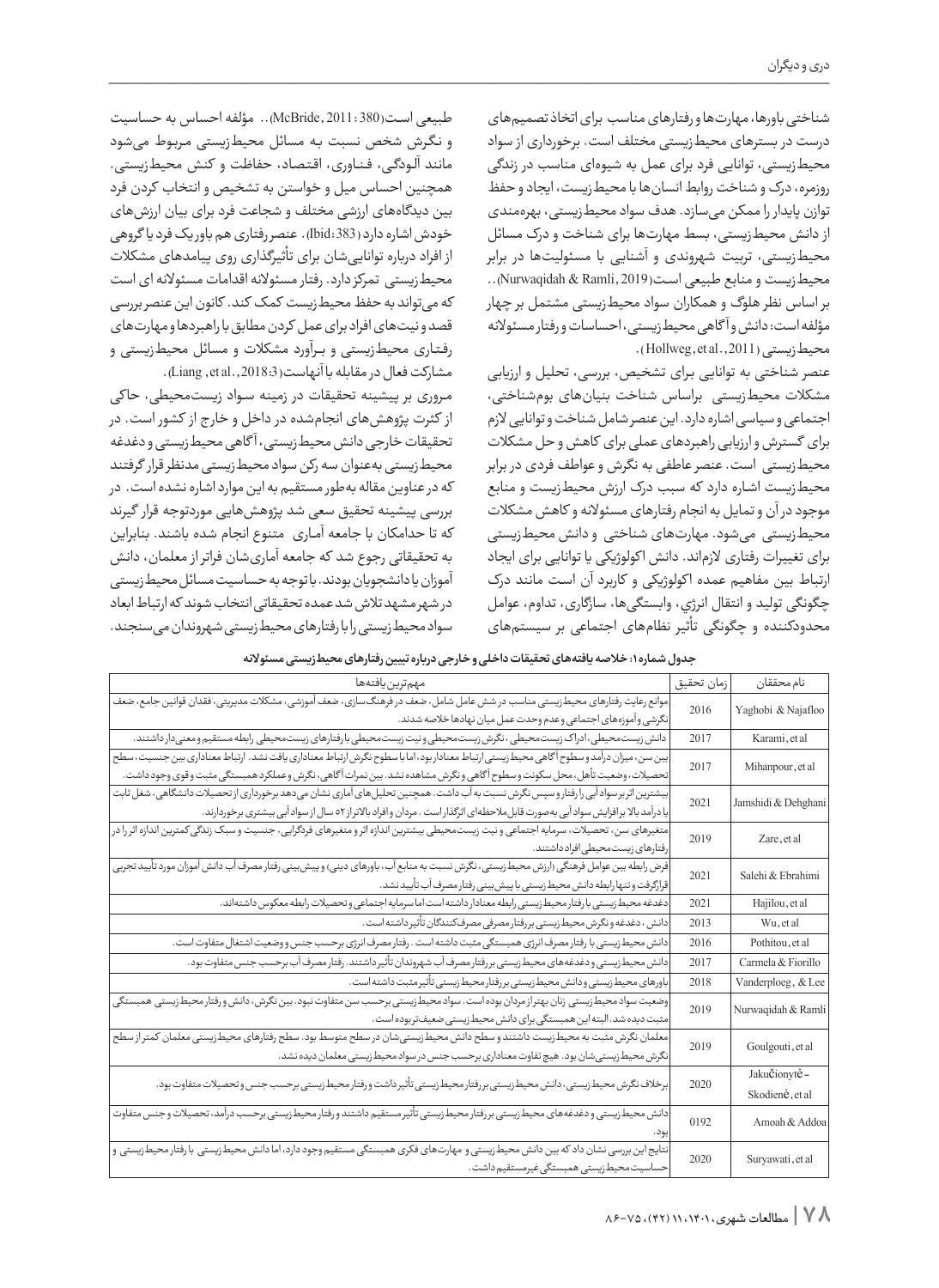شناختی باورها، مهارتها و رفتارهای مناسب برای اتخاذ تصمیمهای درست در بسترهای محیطزیستی مختلف است. برخورداری از سواد محیطزیستی، توانایی فرد برای عمل به شیوهای مناسب در زندگی روزمره، درک و شناخت روابط انسانها با محیطزیست، ایجاد و حفظ توازن پایدار را ممکن میسازد. هدف سواد محیطزیستی، بهرهمندی از دانش محیطزیستی، بسط مهارتها برای شناخت و درک مسائل محیطزیستی، تربیت شهروندی و آشنایی با مسئولیتها در برابر محیطزیست و منابع طبیعی اســت(2019 ,Ramli & Nurwaqidah(.. بر اساس نظر هلوگ و همکاران سواد محیطزیستی مشتمل بر چهار مؤلفه است: دانش و آ گاهی محیطزیستی، احساسات و رفتار مسئوالنه محیطزیستی (Hollweg, et al., 2011).

عنصر شناختی به توانایی بــرای تشخیص، بررسی، تحلیل و ارزیابی مشکالت محیطزیستی براساس شناخت بنیانهای بومشناختی، اجتماعی و سیاسی اشاره دارد. این عنصر شامل شناخت و توانایی الزم برای گسترش و ارزیابی راهبردهای عملی برای کاهش و حل مشکالت محیطزیستی است. عنصر عاطفی به نگرش و عواطف فردی در برابر محیطزیست اشــاره دارد که سبب درک ارزش محیطزیست و منابع موجود در آن و تمایل به انجام رفتارهای مسئوالنه و کاهش مشکالت محیطزیستی میشود. مهارتهای شناختی و دانش محیطزیستی برای تغییرات رفتاری الزماند. دانش ا کولوژیکی یا توانایی برای ایجاد ارتباط بین مفاهیم عمده ا کولوژیکی و کاربرد آن اســت مانند درک چگونگی تولید و انتقال انرژي، وابستگیها، سازگاری، تداوم، عوامل محدودکننده و چگونگی تأثیر نظامهای اجتماعی بر سیستمهای

طبیعی اســت(380 2011: ,McBride(.. مؤلفه احساس به حساسیت و نــگــرش شخص نسبت بــه مسائل محیطزیستی مــربــوط میشود مانند آلــودگــی، فــنــاوری، اقــتــصــاد، حفاظت و کنش محیطزیستی. همچنین احساس میل و خواستن به تشخیص و انتخاب کردن فرد بین دیدگاههای ارزشی مختلف و شجاعت فرد برای بیان ارزشهای خودش اشاره دارد (383 :Ibid(. عنصر رفتاری هم باور یک فرد یا گروهی از افراد درباره تواناییشان برای تأثیرگذاری روی پیامدهای مشکالت محیطزیستی تمرکز دارد. رفتار مسئوالنه اقدامات مسئوالنه ای است که میتواند به حفظ محیطزیست کمک کند. کانون این عنصر بررسی قصد و نیتهای افراد برای عمل کردن مطابق با راهبردها و مهارتهای رفــتــاری محیطزیستی و بـــرآورد مشکالت و مسائل محیطزیستی و مشاركت فعال در مقابله با آنهاست(2018:3 .Liang, et al

مــروری بر پیشینه تحقیقات در زمینه ســواد زیستمحیطی، حا کی از کثرت پژوهشهای انجامشده در داخل و خار ج از کشور است. در تحقیقات خارجی دانش محیطزیستی، آ گاهی محیطزیستی و دغدغه محیطزیستی بهعنوان سه رکن سواد محیطزیستی مدنظر قرار گرفتند که در عناوین مقاله بهطور مستقیم به این موارد اشاره نشده است. در بررسی پیشینه تحقیق سعی شد پژوهشهایی موردتوجه قرار گیرند که تا حدامکان با جامعه آمــاری متنوع انجام شده باشند. بنابراین به تحقیقاتی رجوع شد که جامعه آماریشان فراتر از معلمان، دانش آموزان یا دانشجویان بودند. با توجه به حساسیت مسائل محیطزیستی در شهر مشهد تالش شد عمده تحقیقاتی انتخاب شوند که ارتباط ابعاد سواد محیطزیستی را با رفتارهای محیطزیستی شهروندان میسنجند.

|  |  |  |  |  |  | جدول شماره ۱: خلاصه یافتههای تحقیقات داخلی و خارجی درباره تبیین رفتارهای محیط زیستی مسئولانه |  |
|--|--|--|--|--|--|----------------------------------------------------------------------------------------------|--|
|--|--|--|--|--|--|----------------------------------------------------------------------------------------------|--|

| مهم ترين يافتهها                                                                                                                         | زمان تحقيق | نام محققان          |
|------------------------------------------------------------------------------------------------------------------------------------------|------------|---------------------|
| موانع رعایت رفتارهای محیط زیستی مناسب در شش عامل شامل، ضعف در فرهنگ سازی، ضعف آموزشی، مشکلات مدیریتی، فقدان قوانین جامع، ضعف             |            |                     |
| نگرشی و آموزههای اجتماعی وعدم وحدت عمل میان نهادها خلاصه شدند.                                                                           | 2016       | Yaghobi & Najafloo  |
| دانش زيست محيطي، ادراک زيست محيطي ، نگرش زيست محيطي و نيت زيست محيطي با رفتارهاي زيست محيطي رابطه مستقيم و معنىدار داشتند.               | 2017       | Karami, et al       |
| بین سن، میزان درآمد و سطوح آگاهی محیط زیستی ارتباط معناداربود، اما با سطوح نگرش ارتباط معناداری یافت نشد. ارتباط معناداری بین جنسیت، سطح | 2017       | Mihanpour, et al    |
| تحصيلات، وضعيت تأهل، محل سكونت و سطوح أگاهى و نگرش مشاهده نشد. بين نمرات أگاهى، نگرش و عملكرد همبستگى مثبت و قوى وجود داشت.              |            |                     |
| بیشترین اثر برسواد آبی رارفتار و سپس نگرش نسبت به آب داشت. همچنین تحلیل های آماری نشان میدهد برخورداری از تحصیلات دانشگاهی، شغل ثابت     | 2021       |                     |
| یا درآمد بالا برافزایش سواد آبی به صورت قابل ملاحظهای اثرگذار است . مردان و افراد بالاتراز ٥٢ سال از سواد آبی بیشتری برخوردارند.         |            | Jamshidi & Dehghani |
| متغیرهای سن، تحصیلات، سرمایه اجتماعی و نیت زیست،محیطی بیشترین اندازه اثر و متغیرهای فردگرایی، جنسیت و سبک زندگی کمترین اندازه اثر را در  | 2019       | Zare, et al         |
| رفتارهای زیست محیطی افراد داشتند.                                                                                                        |            |                     |
| فرض رابطه بین عوامل فرهنگی (ارزش محیط زیستی، نگرش نسبت به منابع آب، باورهای دینی) و پیش بینی رفتار مصرف آب دانش آموزان مورد تأیید تجربی  | 2021       | Salehi & Ebrahimi   |
| قرارگرفت و تنها رابطه دانش محیط زیستی با پیش بینی رفتار مصرف آب تأیید نشد.                                                               |            |                     |
| دغدغه محيط زيستي با رفتار محيط زيستي رابطه معنادار داشته است اما سرمايه اجتماعي وتحصيلات رابطه معكوس داشتهاند.                           | 2021       | Hajilou, et al      |
| دانش ، دغدغه و نگرش محیط زیستی بررفتار مصرفی مصرف کنندگان تأثیر داشته است.                                                               | 2013       | Wu, et al           |
| دانش محيط زيستي با رفتار مصرف انرژى همبستگي مثبت داشته است . رفتار مصرف انرژى برحسب جنس و وضعيت اشتغال متفاوت است.                       | 2016       | Pothitou, et al     |
| دانش محيط زيستي و دغدغههاي محيط زيستي بررفتار مصرف آب شهروندان تأثير داشتند. رفتار مصرف آب برحسب جنس متفاوت بود.                         | 2017       | Carmela & Fiorillo  |
| باورهای محیط زیستی و دانش محیط زیستی بررفتار محیط زیستی تأثیر مثبت داشته است.                                                            | 2018       | Vanderploeg, & Lee  |
| وضعيت سواد محيط زيستى زنان بهتراز مردان بوده است. سواد محيط زيستى برحسب سن متفاوت نبود. بين نگرش، دانش ورفتار محيط زيستى همبستگى         | 2019       | Nurwaqidah & Ramli  |
| مثبت ديده شد. البته اين همبستگى براى دانش محيط زيستى ضعيف تربوده است.                                                                    |            |                     |
| معلمان نگرش مثبت به محیطزیست داشتند و سطح دانش محیطزیستیشان در سطح متوسط بود. سطح رفتارهای محیطزیستی معلمان كمتراز سطح                   | 2019       | Goulgouti, et al    |
| نگرش محیط زیستی شان بود. هیچ تفاوت معناداری برحسب جنس در سواد محیط زیستی معلمان دیده نشد.                                                |            |                     |
|                                                                                                                                          | 2020       | JakuČionytė-        |
| برخلاف نگرش محيط زيستى، دانش محيط زيستى بررفتار محيط زيستى تأثير داشت ورفتار محيط زيستى برحسب جنس و تحصيلات متفاوت بود.                  |            | Skodienė, et al     |
| دانش محيط زيستي و دغدغههاي محيط زيستي بررفتار محيط زيستي تأثير مستقيم داشتند ورفتار محيط زيستي برحسب درآمد، تحصيلات و جنس متفاوت         | 0192       | Amoah & Addoa       |
|                                                                                                                                          |            |                     |
| نتایج این بررسی نشان داد که بین دانش محیطزیستی و مهارتهای فکری همبستگی مستقیم وجود دارد، اما دانش محیطزیستی با رفتار محیطزیستی و         | 2020       | Suryawati, et al    |
| حساسيت محيط زيستي همبستگي غيرمستقيم داشت.                                                                                                |            |                     |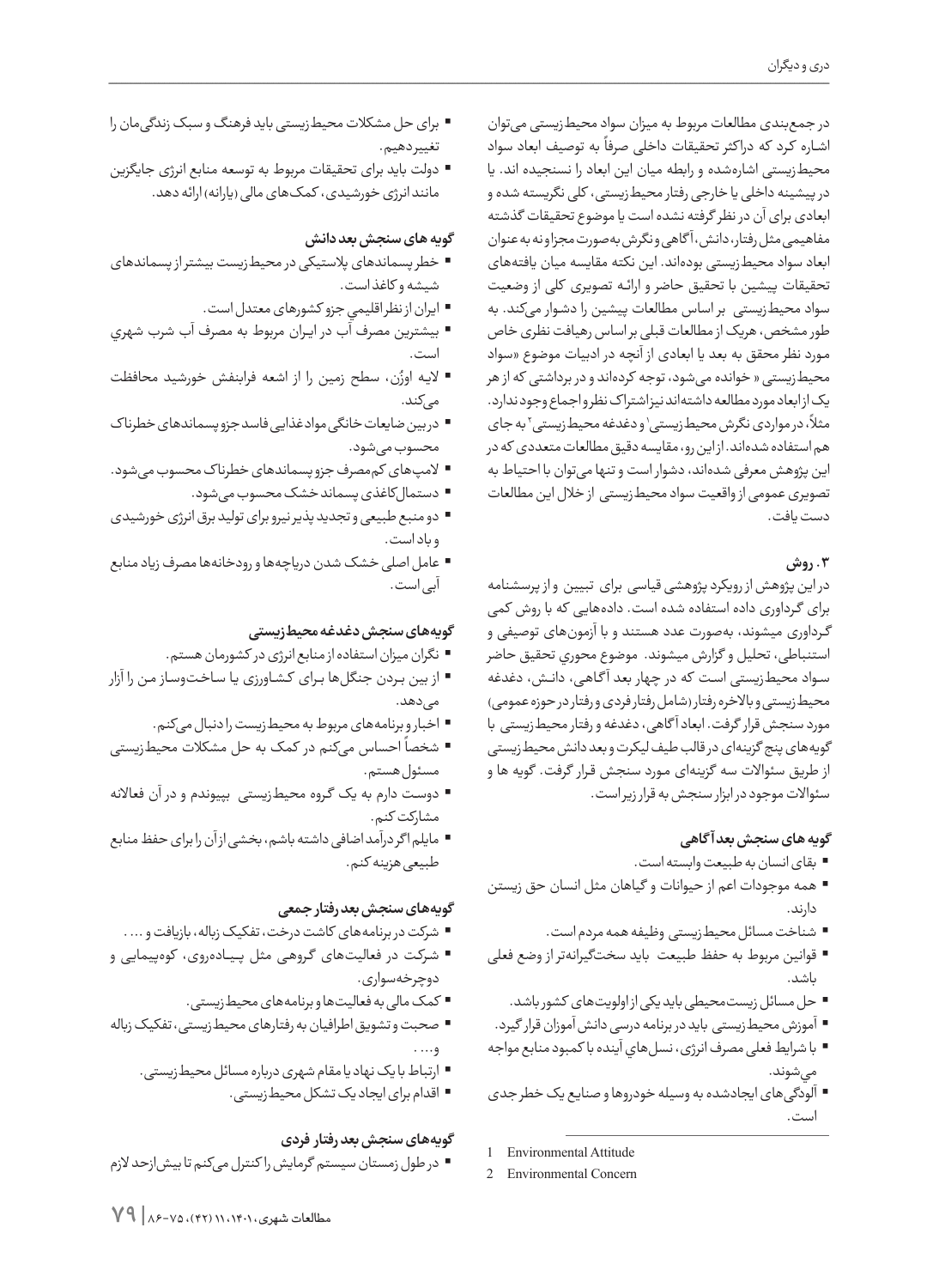در جمعبندی مطالعات مربوط به میزان سواد محیطزیستی میتوان ۔ بہ توسیس کر میں ہے۔<br>اشارہ کرد که دراکثر تحقیقات داخلی صرفاً به توصیف ابعاد سواد محیطزیستی اشارهشده و رابطه میان این ابعاد را نسنجیده اند. یا در پیشینه داخلی یا خارجی رفتار محیطزیستی، کلی نگریسته شده و ابعادی برای آن در نظر گرفته نشده است یا موضوع تحقیقات گذشته مفاهیمی مثل رفتار، دانش، آ گاهی و نگرش بهصورت مجزا و نه به عنوان ابعاد سواد محیطزیستی بودهاند. این نکته مقایسه میان یافتههای تحقیقات پیشین با تحقیق حاضر و ارائــه تصویری کلی از وضعیت سواد محیطزیستی بر اساس مطالعات پیشین را دشــوار میکند. به طور مشخص، هریک از مطالعات قبلی بر اساس رهیافت نظری خاص مــورد نظر محقق به بعد یا ابعادی از آنچه در ادبیات موضوع »سواد محیطزیستی » خوانده میشود، توجه کردهاند و در برداشتی که از هر یک از ابعاد مورد مطالعه داشتهاند نیز اشترا ک نظر و اجماع وجود ندارد. ۔<br>مثلاً، در مواردی نگرش محیط زیستی و دغدغه محیط زیستی آ به جای هم استفاده شدهاند. از این رو، مقایسه دقیق مطالعات متعددی که در این پژوهش معرفی شدهاند، دشوار است و تنها میتوان با احتیاط به تصویری عمومی از واقعیت سواد محیطزیستی از خالل این مطالعات دست یافت.

### **.3 روش**

در این پژوهش از رویکرد پژوهشی قیاسی برای تبیین و از پرسشنامه برای گــرداوری داده استفاده شده است. دادههایی که با روش کمی گــرداوری میشوند، بهصورت عدد هستند و با آزمونهای توصیفی و استنباطی، تحلیل و گزارش میشوند. موضوع محوري تحقيق حاضر ســواد محیطزیستی اســت که در چهار بعد آ گــاهــی، دانــش، دغدغه محیطزیستی و باالخره رفتار )شامل رفتار فردی و رفتار در حوزه عمومی( مورد سنجش قرار گرفت. ابعاد آ گاهی، دغدغه و رفتار محیطزیستی با گویههای پنج گزینهای در قالب طیف لیکرت و بعد دانش محیطزیستی از طریق سئواالت سه گزینهای مــورد سنجش قــرار گرفت. گویه ها و سئواالت موجود در ابزار سنجش به قرار زیر است.

# **گویه های سنجش بعد آ گاهی**

- بقای انسان به طبیعت وابسته است.
- همه موجودات اعم از حیوانات و گیاهان مثل انسان حق زیستن دارند.
	- شناخت مسائل محیطزیستی وظیفه همه مردم است.
- قوانین مربوط به حفظ طبیعت باید سختگیرانهتر از وضع فعلی باشد.
	- حل مسائل زیستمحیطی بايد یکی از اولويتهای کشور باشد.
- آموزش محیطزیستی باید در برنامه درسی دانش آموزان قرار گیرد.
- با شرایط فعلی مصرف انرژی، نسلهاي آينده با كمبود منابع مواجه ميشوند.
- آلودگیهای ایجادشده به وسیله خودروها و صنایع یک خطر جدی است.
- 1 Environmental Attitude
- 2 Environmental Concern
- برای حل مشکالت محیطزیستی باید فرهنگ و سبک زندگیمان را تغییر دهیم.
- دولت باید برای تحقیقات مربوط به توسعه منابع انرژی جایگزین مانند انرژی خورشیدی، کمک های مالی (یارانه) ارائه دهد.

### **گویه های سنجش بعد دانش**

- خطر پسماندهای پالستیکی در محیطزیست بیشتر از پسماندهای شیشه و کاغذ است.
	- ايران از نظر اقليمي جزو كشورهای معتدل است.
- بيشترين مصرف آب در ايــران مربوط به مصرف آب شرب شهري است.
- ُ ن، سطح زمین را از اشعه فرابنفش خورشید محافظت الیــه اوز میکند.
- در بین ضایعات خانگی مواد غذایی فاسد جزو پسماندهای خطرنا ک محسوب میشود.
- المپهای کممصرف جزو پسماندهای خطرنا ک محسوب میشود.
	- دستمالکاغذی پسماند خشک محسوب میشود.
- دو منبع طبیعی و تجدید پذیر نیرو برای تولید برق انرژی خورشیدی و باد است.
- عامل اصلی خشک شدن دریاچهها و رودخانهها مصرف زیاد منابع آبی است.

### **گویههای سنجش دغدغه محیطزیستی**

- نگران میزان استفاده از منابع انرژی در کشورمان هستم.
- از بین بــردن جنگلها بــرای کــشــاورزی یــا ســاخــتوســاز مــن را آزار میدهد.
	- اخبار و برنامههای مربوط به محیطزیست را دنبال میکنم.
- ֖֖֖֖֖֧֧֧֧֧֦֧֧֦֧ׅ֧֦֧֧֛֛֚֚֚֚֚֓֓֝֓֓֓֓֓֓֓֓֝֓֝֬֓֓֝֬֝֓֜֓֜֓֓֜֓֜֜ احساس میکنم در کمک به حل مشکالت محیطزیستی شخصا مسئول هستم.
- دوســت دارم به یک گــروه محیطزیستی بپیوندم و در آن فعاالنه مشارکت کنم.
- مایلم ا گر درآمد اضافی داشته باشم، بخشی از آن را برای حفظ منابع طبیعی هزینه کنم.

### **گویههای سنجش بعد رفتار جمعی**

- شرکت در برنامههای کاشت درخت، تفکیک زباله، بازیافت و ... .
- شــرکــت در فعالیتهای گــروهــی مثل پـــیـــادهروی، کوهپیمایی و دوچرخهسواری.
	- کمک مالی به فعالیتها و برنامههای محیطزیستی.
- صحبت و تشویق اطرافیان به رفتارهای محیطزیستی، تفکیک زباله و... .
	- ارتباط با یک نهاد یا مقام شهری درباره مسائل محیطزیستی.
		- اقدام برای ایجاد یک تشکل محیطزیستی.

### **گویههای سنجش بعد رفتار فردی**

 در طول زمستان سیستم گرمایش را کنترل میکنم تا بیشازحد الزم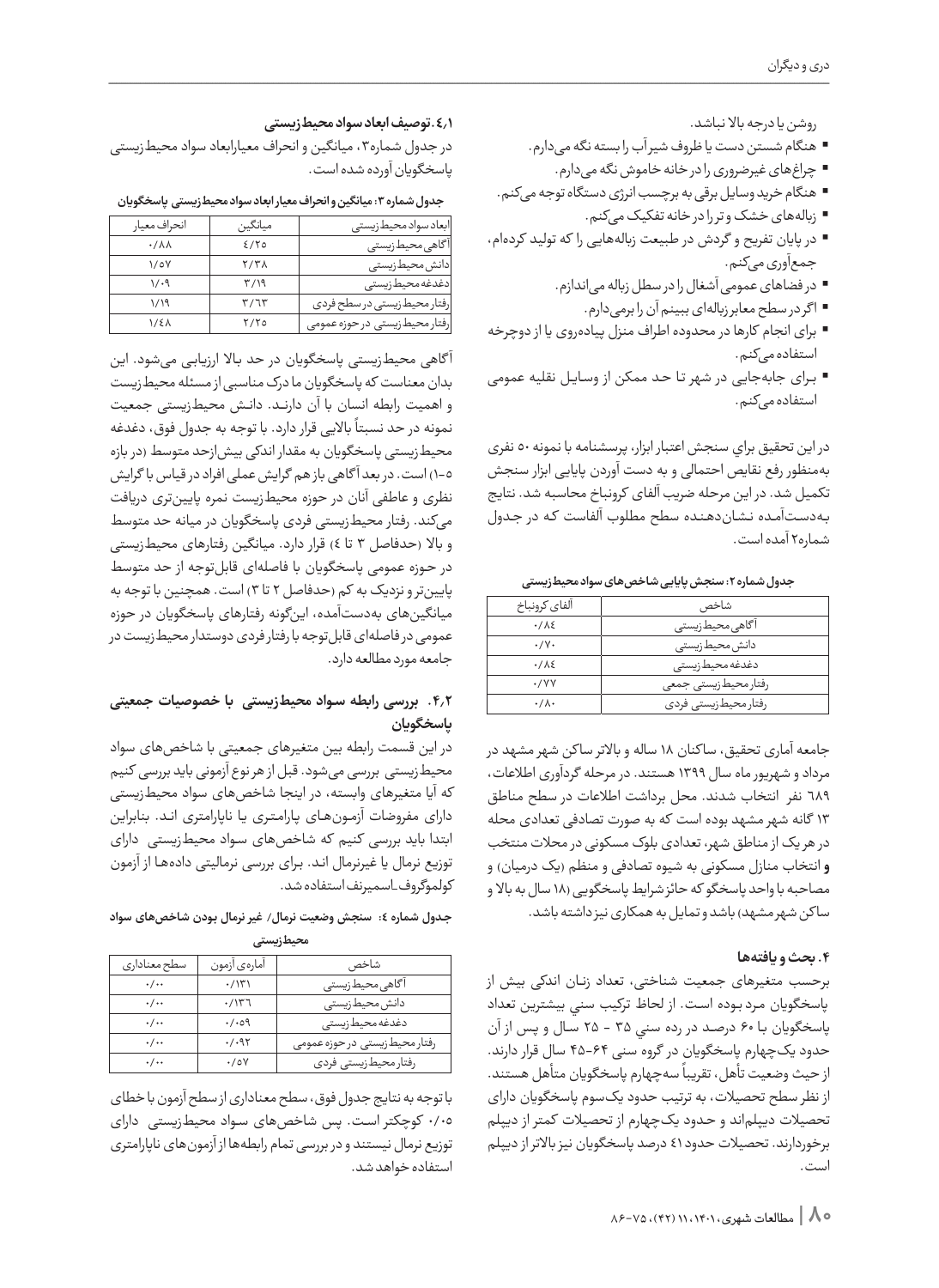روشن یا درجه باال نباشد.

- هنگام شستن دست یا ظروف شیر آب را بسته نگه میدارم.
	- چراغهای غیرضروری را در خانه خاموش نگه میدارم.
- هنگام خرید وسایل برقی به برچسب انرژی دستگاه توجه میکنم.
	- زبالههای خشک و تر را در خانه تفکیک میکنم.
- در پایان تفریح و گردش در طبیعت زبالههایی را که تولید کردهام، جمعآوری میکنم.
	- در فضاهای عمومی آشغال را در سطل زباله میاندازم.
		- ا گر در سطح معابر زبالهای ببینم آن را برمیدارم.
- برای انجام کارها در محدوده اطراف منزل پیادهروی یا از دوچرخه استفاده میکنم.
- بــرای جابهجایی در شهر تــا حــد ممکن از وســایــل نقلیه عمومی استفاده میکنم.

در اين تحقيق براي سنجش اعتبار ابزار، پرسشنامه با نمونه 50 نفری بهمنظور رفع نقایص احتمالی و به دست آوردن پایایی ابزار سنجش تکمیل شد. در این مرحله ضريب آلفای کرونباخ محاسبه شد. نتایج بــهدســتآمــده نــشــاندهــنــده سطح مطلوب آلفاست کــه در جــدول شماره2 آمده است.

| ألفاي كرونباخ     | شاخص                  |
|-------------------|-----------------------|
| $.7\lambda$       | آگاهی محیطزیستی       |
| $\cdot/\gamma$ .  | دانش محیط زیستی       |
| .715              | دغدغه محيط زيستى      |
| $\cdot$ /YY       | رفتار محيط زيستى جمعى |
| $\cdot/\Lambda$ . | رفتار محيط زيستى فردى |

**جدول شماره :2 سنجش پایایی شاخصهای سواد محیطزیستی** 

جامعه آماری تحقیق، سا کنان 18 ساله و باالتر سا کن شهر مشهد در مرداد و شهریورماه سال 1399 هستند. در مرحله گردآوری اطالعات، 689 نفر انتخاب شدند. محل برداشت اطالعات در سطح مناطق 13 گانه شهر مشهد بوده است که به صورت تصادفی تعدادی محله در هر یک از مناطق شهر، تعدادی بلوک مسکونی در محالت منتخب **و** انتخاب منازل مسکونی به شیوه تصادفی و منظم )یک درمیان( و مصاحبه با واحد پاسخگو که حائز شرایط پاسخگویی )18 سال به باال و ساکن شهر مشهد) باشد و تمایل به همکاری نیز داشته باشد.

# **.4 بحث و یافتهها**

برحسب متغیرهای جمعیت شناختی، تعداد زنــان اندکی بیش از پاسخگویان مــرد بــوده اســت. از لحاظ تركيب سني بيشترين تعداد پاسخگويان بــا 60 درصـــد در رده سني 35 - 25 ســال و پــس از آن حدود یکچهارم پاسخگویان در گروه سنی 45-64 سال قرار دارند. ت میسی در پاسخ متفاوت کر در دست که متفاوت متفاوت متفاوت متفاوت .<br>از حیث وضعیت تأهل، تقریباً سهچهارم پاسخگویان متأهل هستند. از نظر سطح تحصیالت، به ترتیب حدود یکسوم پاسخگویان دارای تحصیالت دیپلماند و حــدود یکچهارم از تحصیالت کمتر از دیپلم برخوردارند. تحصیالت حدود 41 درصد پاسخگویان نیز باالتر از دیپلم است.

## **.4.1توصیف ابعاد سواد محیطزیستی**

در جدول شماره۳، میانگین و انحراف معیارابعاد سواد محیطزیستی پاسخگویان آورده شده است.

**جدول شماره :3 میانگین و انحراف معیار ابعاد سواد محیطزیستی پاسخگویان**

| انحراف معيار           | ميانگين     | ابعاد سواد محیط زیستی         |
|------------------------|-------------|-------------------------------|
| $\cdot/\lambda\lambda$ | 2/70        | آگاهی محیطزیستی               |
| $\sqrt{2V}$            | <b>7/۳۸</b> | دانش محيط زيستى               |
| 1/29                   | ۳/۱۹        | دغدغه محيط زيستى              |
| ۱/۱۹                   | T/T         | رفتار محيط زيستي در سطح فردي  |
| <b>1/21</b>            | Y/Y         | رفتار محيطزيستي در حوزه عمومي |

آ گاهی محیطزیستی پاسخگویان در حد بــاال ارزیــابــی میشود. این بدان معناست که پاسخگویان ما درک مناسبی از مسئله محیطزیست و اهمیت رابطه انسان با آن دارنـــد. دانــش محیطزیستی جمعیت ر سمت مسرد کرد.<br>نمونه در حد نسبتاً بالایی قرار دارد. با توجه به جدول فوق، دغدغه محیطزیستی پاسخگویان به مقدار اندکی بیشازحد متوسط )در بازه 1-5( است. در بعد آ گاهی باز هم گرایش عملی افراد در قیاس با گرایش نظری و عاطفی آنان در حوزه محیطزیست نمره پایینتری دریافت میکند. رفتار محیطزیستی فردی پاسخگویان در میانه حد متوسط و باال )حدفاصل 3 تا 4( قرار دارد. میانگین رفتارهای محیطزیستی در حــوزه عمومی پاسخگویان با فاصلهای قابلتوجه از حد متوسط پایینتر و نزدیک به کم )حدفاصل 2 تا 3( است. همچنین با توجه به میانگینهای بهدستآمده، اینگونه رفتارهای پاسخگویان در حوزه عمومی در فاصلهای قابلتوجه با رفتار فردی دوستدار محیطزیست در جامعه مورد مطالعه دارد.

# **.4.2 بررسی رابطه سـواد محیطزیستی با خصوصیات جمعیتی پاسخگویان**

در این قسمت رابطه بین متغیرهای جمعیتی با شاخصهای سواد محیطزیستی بررسی میشود. قبل از هر نوع آزمونی باید بررسی کنیم که آیا متغیرهای وابسته، در اینجا شاخصهای سواد محیطزیستی دارای مفروضات آزمــونهــای پــارامــتــری یــا ناپارامتری انــد. بنابراین ابتدا باید بررسی کنیم که شاخصهای ســواد محیطزیستی دارای توزیع نرمال یا غیرنرمال انــد. بــرای بررسی نرمالیتی دادههــا از آزمون کولموگروف\_اسمیرنف استفاده شد.

### **جـدول شماره :4 سنجش وضعیت نرمال/ غیر نرمال بـودن شاخصهای سواد محیطزیستی**

| سطح معنادارى       | أمارهى أزمون         | شاخص                           |  |  |  |  |
|--------------------|----------------------|--------------------------------|--|--|--|--|
| $\cdot/\cdot$      | $\cdot$ / $\Upsilon$ | آگاهی محیطزیستی                |  |  |  |  |
| $\cdot/\cdot\cdot$ | .7177                | دانش محيط زيستى                |  |  |  |  |
| $\cdot/\cdot\cdot$ | $\cdot/\cdot$ ٥٩     | دغدغه محيط زيستى               |  |  |  |  |
| $\cdot/\cdot\cdot$ | .7.97                | رفتار محيط زيستى در حوزه عمومى |  |  |  |  |
| $\cdot/\cdot\cdot$ | $\cdot$ /0Y          | رفتار محيطزيستي فردى           |  |  |  |  |

با توجه به نتایج جدول فوق، سطح معناداری از سطح آزمون با خطای 0/05 کوچکتر اســت. پس شاخصهای ســواد محیطزیستی دارای توزیع نرمال نیستند و در بررسی تمام رابطهها از آزمونهای ناپارامتری استفاده خواهد شد.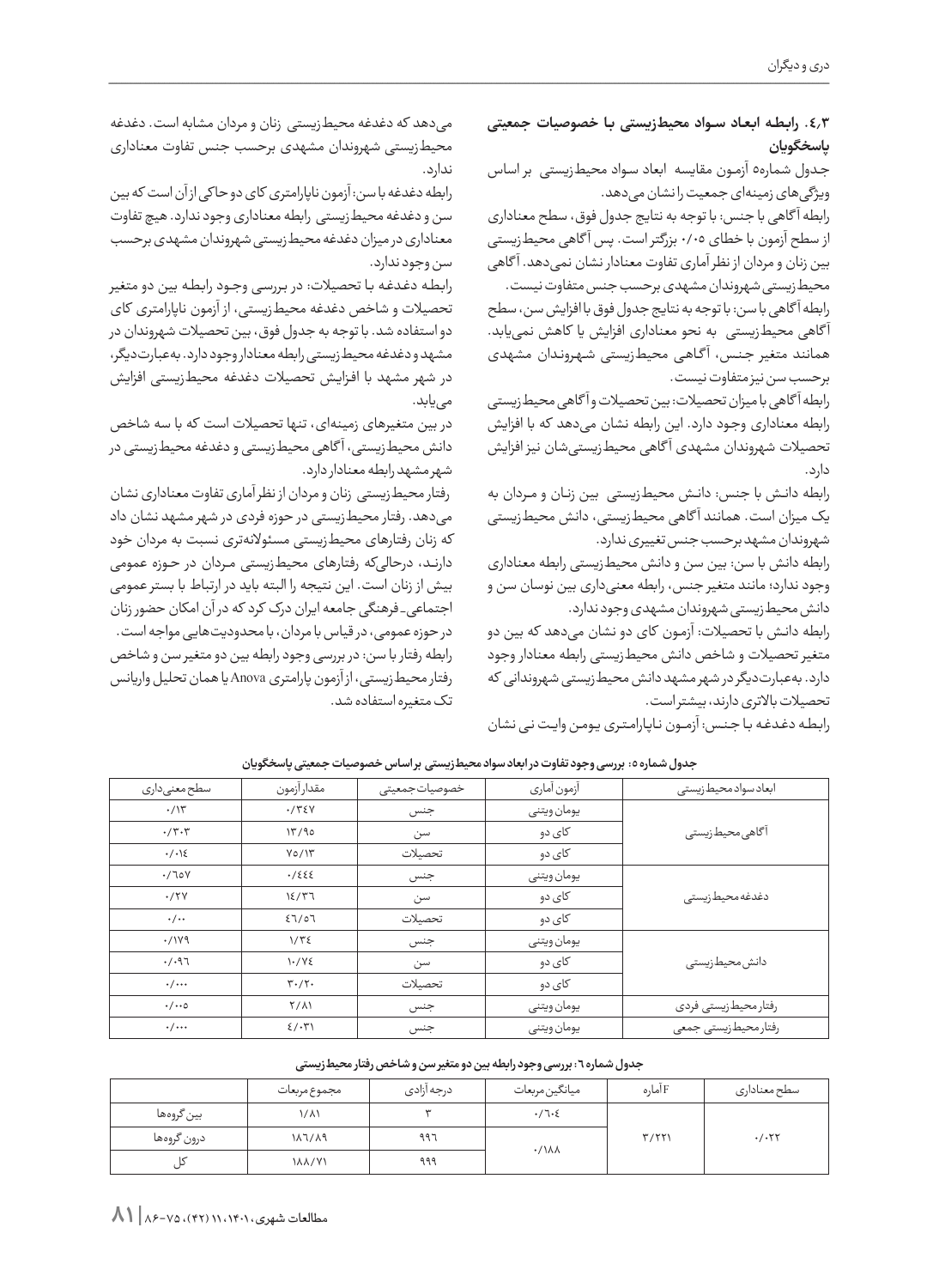**.4.3 رابـطـه ابـعـاد ســواد محیطزیستی بـا خصوصیات جمعیتی پاسخگویان**

جــدول شماره5 آزمــون مقایسه ابعاد ســواد محیطزیستی بر اساس ویژگی های زمینهای جمعیت را نشان می دهد.

رابطه آ گاهی با جنس: با توجه به نتایج جدول فوق، سطح معناداری از سطح آزمون با خطای 0/05 بزرگتر است. پس آ گاهی محیطزیستی بین زنان و مردان از نظر آماری تفاوت معنادار نشان نمیدهد. آ گاهی محیطزیستی شهروندان مشهدی برحسب جنس متفاوت نیست.

رابطه آ گاهی با سن: با توجه به نتایج جدول فوق با افزایش سن، سطح آ گاهی محیطزیستی به نحو معناداری افزایش یا کاهش نمییابد. همانند متغیر جــنــس، آ گــاهــی محیطزیستی شــهــرونــدان مشهدی برحسب سن نیز متفاوت نیست.

رابطه آ گاهی با میزان تحصیالت: بین تحصیالت و آ گاهی محیطزیستی رابطه معناداری وجــود دارد. این رابطه نشان میدهد که با افزایش تحصیالت شهروندان مشهدی آ گاهی محیطزیستیشان نیز افزایش دارد.

رابطه دانــش با جنس: دانــش محیطزیستی بین زنــان و مـــردان به یک میزان است. همانند آ گاهی محیطزیستی، دانش محیطزیستی شهروندان مشهد برحسب جنس تغییری ندارد.

رابطه دانش با سن: بین سن و دانش محیطزیستی رابطه معناداری وجود ندارد؛ مانند متغیر جنس، رابطه معنیداری بین نوسان سن و دانش محیطزیستی شهروندان مشهدی وجود ندارد.

رابطه دانــش با تحصیالت: آزمــون کای دو نشان میدهد که بین دو متغیر تحصیالت و شاخص دانش محیطزیستی رابطه معنادار وجود دارد. بهعبارتدیگر در شهر مشهد دانش محیطزیستی شهروندانی که تحصیالت باالتری دارند، بیشتر است.

میدهد که دغدغه محیطزیستی زنان و مردان مشابه است. دغدغه محیطزیستی شهروندان مشهدی برحسب جنس تفاوت معناداری ندارد. رابطه دغدغه با سن: آزمون ناپارامتری کای دو حا کی از آن است که بین

سن و دغدغه محیطزیستی رابطه معناداری وجود ندارد. هیچ تفاوت معناداری در میزان دغدغه محیطزیستی شهروندان مشهدی برحسب سن وجود ندارد.

رابــطــه دغــدغــه بــا تحصیالت: در بــررســی وجــود رابــطــه بین دو متغیر تحصیالت و شاخص دغدغه محیطزیستی، از آزمون ناپارامتری کای دو استفاده شد. با توجه به جدول فوق، بین تحصیالت شهروندان در مشهد و دغدغه محیطزیستی رابطه معنادار وجود دارد. بهعبارتدیگر، در شهر مشهد با افــزایــش تحصیالت دغدغه محیطزیستی افزایش مییابد.

در بین متغیرهای زمینهای، تنها تحصیالت است که با سه شاخص دانش محیطزیستی، آ گاهی محیطزیستی و دغدغه محیطزیستی در شهر مشهد رابطه معنادار دارد.

 رفتار محیطزیستی زنان و مردان از نظر آماری تفاوت معناداری نشان میدهد. رفتار محیطزیستی در حوزه فردی در شهر مشهد نشان داد که زنان رفتارهای محیطزیستی مسئوالنهتری نسبت به مردان خود دارنـــد، درحالیکه رفتارهای محیطزیستی مــردان در حــوزه عمومی بیش از زنان است. این نتیجه را البته باید در ارتباط با بستر عمومی اجتماعی\_ فرهنگی جامعه ایران درک کرد که در آن امکان حضور زنان در حوزه عمومی، در قیاس با مردان، با محدودیتهایی مواجه است. رابطه رفتار با سن: در بررسی وجود رابطه بین دو متغیر سن و شاخص رفتار محیطزیستی، از آزمون پارامتری Anovaیا همان تحلیل واریانس تک متغیره استفاده شد.

رابطه دغدغه با جنس: آزمـون نـاپـارامتری یومن وایت نـی نشان

| سطح معنی داری         | مقدارآزمون                        | خصوصيات جمعيتى | آزمون آماري | ابعاد سواد محيط زيستى |  |
|-----------------------|-----------------------------------|----------------|-------------|-----------------------|--|
| $\cdot$ / $\Upsilon$  | .775V                             | جنس            | يومان ويتنى |                       |  |
| $\cdot/\tau\cdot\tau$ | 17/90                             | سن             | کای دو      | آگاهی محیطزیستی       |  |
| $\cdot/\cdot$ \{      | $Y_0/Y$                           | تحصىلات        | کای دو      |                       |  |
| .700                  | .7555                             | جنس            | يومان ويتنى |                       |  |
| .77Y                  | 15/77                             | سن             | کای دو      | دغدغه محيط زيستى      |  |
| $\cdot/\cdot\cdot$    | 27/07                             | تحصىلات        | کای دو      |                       |  |
| .7199                 | $1/\overline{r}$                  | جنس            | يومان ويتنى |                       |  |
| .7.97                 | $1.7Y\xi$                         | سن             | کای دو      | دانش محیط زیستی       |  |
| $\cdot/\cdots$        | $\mathbf{r} \cdot / \mathbf{r}$ . | تحصىلات        | کای دو      |                       |  |
| $\cdot/\cdots$        | $Y/\lambda$                       | جنس            | يومان ويتنى | رفتار محيطزيستي فردى  |  |
| $\cdot/\cdots$        | $\frac{2}{3}$                     | جنس            | يومان ويتنى | رفتار محيط زيستي جمعي |  |

جدول شماره ٥: بررسی وجود تفاوت در ابعاد سواد محیطزیستی بر اساس خصوصیات جمعیتی پاسخگویان

جدول شماره ٦ : بررسی وجود رابطه بین دو متغیر سن و شاخص رفتار محیطزیستی

|             | مجموع مربعات  | درجه آزادي | ميانگين مربعات             | F امارہ | سطح معناداري         |
|-------------|---------------|------------|----------------------------|---------|----------------------|
| بين گروهها  | ۱/۸۱          |            | $\cdot/7.5$                |         |                      |
| درون گروهها | 187789        | ۹۹٦        | $\cdot$ / $\lambda\lambda$ | T/TT    | $\cdot$ / $\cdot$ ۲۲ |
|             | <b>17/7/1</b> | ۹۹۹        |                            |         |                      |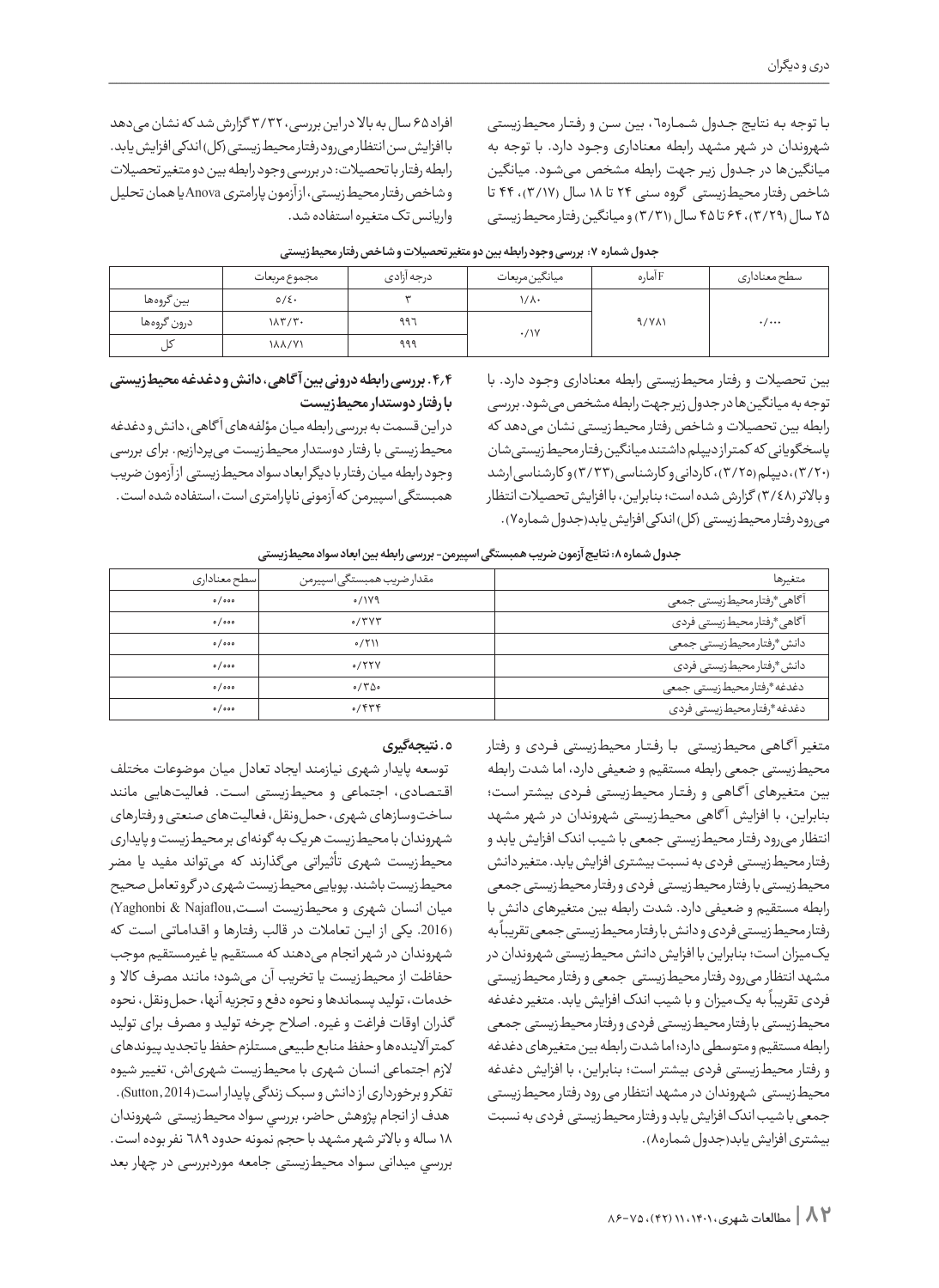بـا توجه بـه نتایج جـدول شـمـاره٦ ، بین سـن و رفـتـار محیطزیستی شهروندان در شهر مشهد رابطه معناداری وجــود دارد. با توجه به میانگینها در جـدول زیـر جهت رابطه مشخص میشـود. میانگین شاخص رفتار محیطزیستی گروه سنی 24 تا 18 سال )3/17(، 44 تا ۲۵ سال (۳/۲۹)، ۶۴ تا ۴۵ سال (۳/۳۱) و میانگین رفتار محیطزیستی

افراد 65 سال به باال در این بررسی، 3/32 گزارش شد که نشان میدهد با افزایش سن انتظار میرود رفتار محیطزیستی )کل( اندکی افزایش یابد. رابطه رفتار با تحصیالت: در بررسی وجود رابطه بین دو متغیر تحصیالت و شاخص رفتار محیطزیستی، از آزمون پارامتری Anovaیا همان تحلیل واریانس تک متغیره استفاده شد.

|             | مجموع مربعات                   | درجه ازادى | ميانگين مربعات | F امارہ      | سطح معنادارى              |
|-------------|--------------------------------|------------|----------------|--------------|---------------------------|
| بين گروهها  | $0/\xi$ .                      | سه         | ۱/۸۰           |              |                           |
| درون گروهها | $1\lambda \Upsilon/\Upsilon$ . | ۹۹۶        | $\cdot$ /\Y    | $9/Y\Lambda$ | $\cdot$ / $\cdot$ $\cdot$ |
|             | <b>188771</b>                  | ۹۹۹        |                |              |                           |

**جدول شماره :7 بررسی وجود رابطه بین دو متغیر تحصیالت و شاخص رفتار محیطزیستی** 

بین تحصیالت و رفتار محیطزیستی رابطه معناداری وجــود دارد. با توجه به میانگین ها در جدول زیر جهت رابطه مشخص می شود. بررسی رابطه بین تحصیالت و شاخص رفتار محیطزیستی نشان میدهد که پاسخگویانی که کمتر از دیپلم داشتند میانگین رفتار محیطزیستیشان )3/20(، دیپلم )3/25(، کاردانی و کارشناسی )3/33( و کارشناسی ارشد

و باالتر )3/48( گزارش شده است؛ بنابراین، با افزایش تحصیالت انتظار می رود رفتار محیط زیستی (کل) اندکی افزایش یابد(جدول شماره٧).

### **.4.4 بررسی رابطه درونی بین آ گاهی، دانش و دغدغه محیطزیستی با رفتار دوستدار محیطزیست**

در این قسمت به بررسی رابطه میان مؤلفههای آ گاهی، دانش و دغدغه محیطزیستی با رفتار دوستدار محیطزیست میپردازیم. برای بررسی وجود رابطه میان رفتار با دیگر ابعاد سواد محیطزیستی از آزمون ضریب همبستگی اسپیرمن که آزمونی ناپارامتری است، استفاده شده است.

جدول شماره **۸**: نتایج آزمون ضریب همبستگی اسپیرمن- بررسی رابطه بین ابعاد سواد محیط زیستی

| سطح معناداری | مقدار ضريب همبستگي اسپيرمن | متغيرها                      |
|--------------|----------------------------|------------------------------|
| 0/000        | 0/119                      | آگاهی *رفتار محیطزیستی جمعی  |
| 0/000        | 0/7V                       | آگاهی*رفتار محیطزیستی فردی   |
| 0/000        | 0/711                      | دانش*رفتار محيطزيستي جمعي    |
| 0/000        | 0/55V                      | دانش *رفتار محيطزيستي فردي   |
| 0/000        | 0/700                      | دغدغه *رفتار محيط زيستي جمعي |
| 0/000        | 0/979                      | دغدغه *رفتار محيط زيستى فردى |

متغیر آ گــاهــی محیطزیستی بــا رفــتــار محیطزیستی فـــردی و رفتار محیطزیستی جمعی رابطه مستقیم و ضعیفی دارد، اما شدت رابطه بین متغیرهای آ گــاهــی و رفــتــار محیطزیستی فـــردی بیشتر اســت؛ بنابراین، با افزایش آ گاهی محیطزیستی شهروندان در شهر مشهد انتظار میرود رفتار محیطزیستی جمعی با شیب اندک افزایش یابد و رفتار محیطزیستی فردی به نسبت بیشتری افزایش یابد. متغیر دانش محیطزیستی با رفتار محیطزیستی فردی و رفتار محیطزیستی جمعی رابطه مستقیم و ضعیفی دارد. شدت رابطه بین متغیرهای دانش با ر .<br>رفتار محیط زیستی فردی و دانش با رفتار محیط زیستی جمعی تقریباً به یکمیزان است؛ بنابراین با افزایش دانش محیطزیستی شهروندان در مشهد انتظار میرود رفتار محیطزیستی جمعی و رفتار محیطزیستی .<br>فردی تقریباً به یک میزان و با شیب اندک افزایش یابد. متغیر دغدغه محیطزیستی با رفتار محیطزیستی فردی و رفتار محیطزیستی جمعی رابطه مستقیم و متوسطی دارد؛ اما شدت رابطه بین متغیرهای دغدغه و رفتار محیطزیستی فردی بیشتر است؛ بنابراین، با افزایش دغدغه محیطزیستی شهروندان در مشهد انتظار می رود رفتار محیطزیستی جمعی با شیب اندک افزایش یابد و رفتار محیطزیستی فردی به نسبت بیشتری افزایش یابد)جدول شماره8(.

# **.5 نتیجهگیری**

 توسعه پایدار شهری نیازمند ایجاد تعادل میان موضوعات مختلف اقــتــصــادی، اجتماعی و محیطزیستی اســـت. فعالیتهایی مانند ساختوسازهای شهری، حملونقل، فعالیتهای صنعتی و رفتارهای شهروندان با محیطزیست هر یک به گونهای بر محیطزیست و پایداری محیطزیست شهری تأثیراتی میگذارند که میتواند مفید یا مضر محیطزیست باشند. پویایی محیطزیست شهری در گرو تعامل صحیح میان انسان شهری و محیطزیست اســــت,Najaflou & Yaghonbi( (.2016 یکی از ایــن تعامالت در قالب رفتارها و اقــدامــاتــی اســت که شهروندان در شهر انجام میدهند که مستقیم یا غیرمستقیم موجب حفاظت از محیطزیست یا تخریب آن میشود؛ مانند مصرف کاال و خدمات، تولید پسماندها و نحوه دفع و تجزیه آنها، حمل ونقل، نحوه گذران اوقات فراغت و غیره. اصالح چرخه تولید و مصرف برای تولید کمتر آالیندهها و حفظ منابع طبیعی مستلزم حفظ یا تجدید پیوندهای الزم اجتماعی انسان شهری با محیطزیست شهریاش، تغییر شیوه تفکر و برخورداری از دانش و سبک زندگی پایدار است(2014 ,Sutton(. هدف از انجام پژوهش حاضر، بررسي سواد محیطزیستی شهروندان 18 ساله و باالتر شهر مشهد با حجم نمونه حدود 689 نفر بوده است. بررسي میدانی ســواد محیطزیستی جامعه موردبررسی در چهار بعد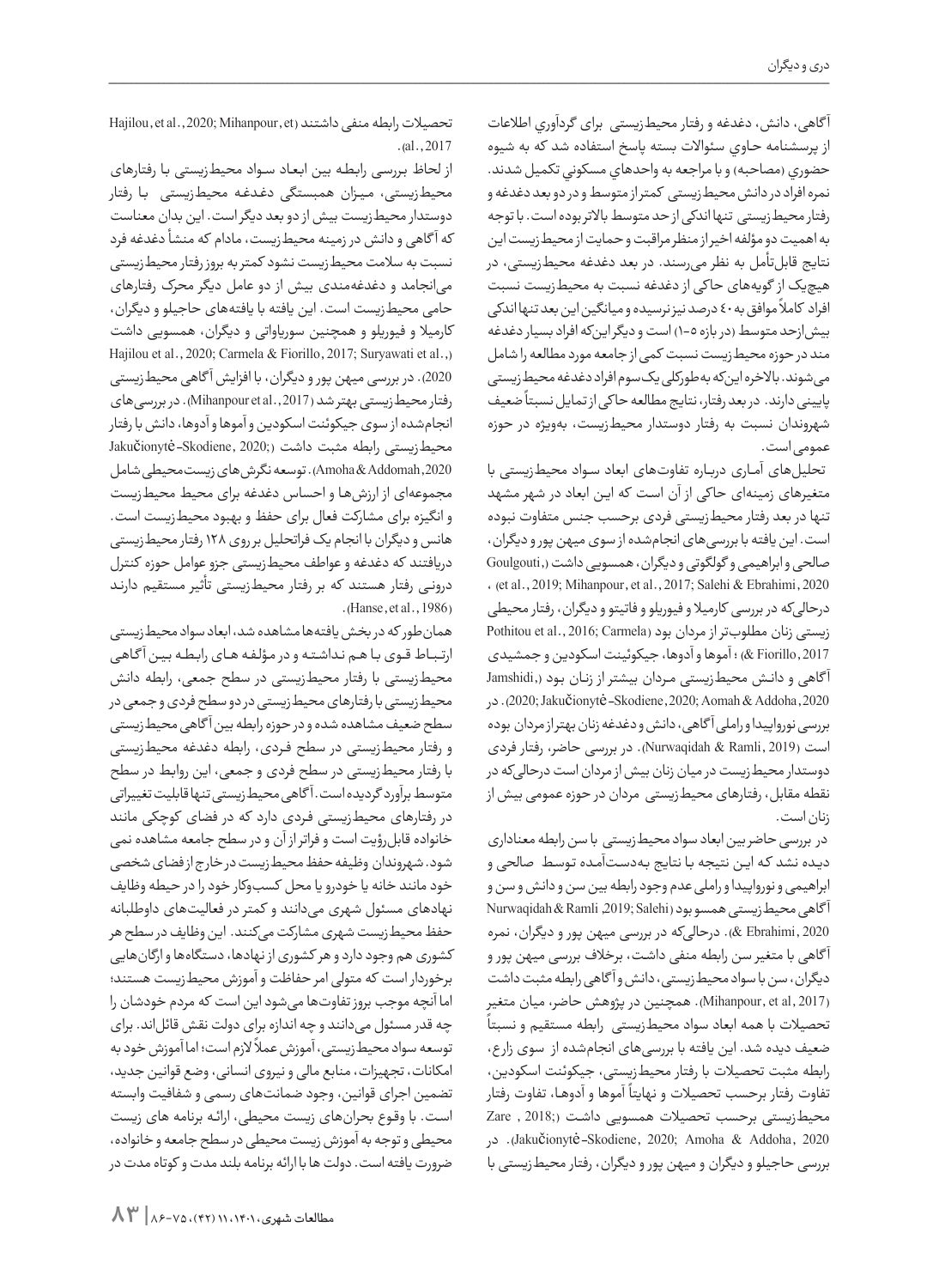آ گاهی، دانش، دغدغه و رفتار محیطزیستی برای گردآوري اطالعات از پرسشنامه حــاوي سئواالت بسته پاسخ استفاده شد كه به شیوه حضوري (مصاحبه) و با مراجعه به واحدهاي مسكوني تكميل شدند. نمره افراد در دانش محیطزیستی کمتر از متوسط و در دو بعد دغدغه و رفتار محیطزیستی تنها اندکی از حد متوسط باالتر بوده است. با توجه به اهمیت دو مؤلفه اخیر از منظر مراقبت و حمایت از محیطزیست این نتایج قابلتأمل به نظر میرسند. در بعد دغدغه محیطزیستی، در هیچیک از گویههای حا کی از دغدغه نسبت به محیطزیست نسبت ست.<br>افراد کاملاً موافق به ٤٠ درصد نیز نرسیده و میانگین این بعد تنها اندکی بیشازحد متوسط )در بازه 1-5( است و دیگر اینکه افراد بسیار دغدغه مند در حوزه محیطزیست نسبت کمی از جامعه مورد مطالعه را شامل میشوند. باالخره اینکه بهطورکلی یکسوم افراد دغدغه محیطزیستی ی رسمبند از سعیف مسلم کرد.<br>پایینی دارند. در بعد رفتار، نتایج مطالعه حاکی از تمایل نسبتاً ضعیف شهروندان نسبت به رفتار دوستدار محیطزیست، بهویژه در حوزه عمومی است.

 تحلیلهای آمــاری دربـــاره تفاوتهای ابعاد ســواد محیطزیستی با متغیرهای زمینهای حا کی از آن اســت که ایــن ابعاد در شهر مشهد تنها در بعد رفتار محیطزیستی فردی برحسب جنس متفاوت نبوده است. این یافته با بررسیهای انجامشده از سوی میهن پور و دیگران، صالحی و ابراهیمی و گولگوتی و دیگران، همسویی داشت ),Goulgouti . (et al., 2019; Mihanpour, et al., 2017; Salehi & Ebrahimi, 2020 درحالیکه در بررسی کارمیال و فیوریلو و فاتیتو و دیگران، رفتار محیطی زیستی زنان مطلوبتر از مردان بود (Pothitou et al., 2016; Carmela 2017 ,Fiorillo )& ؛ آموها و آدوها، جیکوئینت اسکودین و جمشیدی آ گاهی و دانــش محیطزیستی مــردان بیشتر از زنــان بــود ),Jamshidi 2020; Jakučionytė-Skodiene, 2020; Aomah & Addoha, 2020. در بررسی نورواپیدا و راملی آ گاهی، دانش و دغدغه زنان بهتر از مردان بوده است )2019 ,Ramli & Nurwaqidah). در بررسی حاضر، رفتار فردی دوستدار محیطزیست در میان زنان بیش از مردان است درحالیکه در نقطه مقابل، رفتارهای محیطزیستی مردان در حوزه عمومی بیش از زنان است.

 در بررسی حاضر بین ابعاد سواد محیطزیستی با سن رابطه معناداری دیده نشد که این نتیجه با نتایج بهدستآمده توسط صالحی و ابراهیمی و نورواپیدا و راملی عدم وجود رابطه بین سن و دانش و سن و آ گاهی محیطزیستی همسو بود )Salehi; ,2019 Ramli & Nurwaqidah 2020 ,Ebrahimi)& . درحالیکه در بررسی میهن پور و دیگران، نمره آ گاهی با متغیر سن رابطه منفی داش�ت، برخالف بررسی میهن پور و دیگران، سن با سواد محیطزیستی، دانش و آ گاهی رابطه مثبت داشت (Mihanpour, et al, 2017). همچنین در پژوهش حاضر، میان متغیر تحصیالت با همه ابعاد سواد محیطزیستی رابطه مستقیم و نسبتا ضعیف دیده شد. این یافته با بررسیهای انجامشده از سوی زار ع، رابطه مثبت تحصیالت با رفتار محیطزیستی، جیکوئنت اسکودین، ر .<br>نفاوت رفتار برحسب تحصیلات و نهایتاً آموها و آدوهـا، تفاوت رفتار محیطزیستی برحسب تحصیالت همسویی داشــت );2018 , Zare 2020 ,Addoha & Amoha; 2020 ,Skodiene-Jakučionytė). در بررسی حاجیلو و دیگران و میهن پور و دیگران، رفتار محیطزیستی با

تحصیلات رابطه منفی داشتند (Hajilou, et al., 2020; Mihanpour, et  $(a1., 2017)$ 

از لحاظ بــررســی رابــطــه بین ابــعــاد ســواد محیطزیستی بــا رفتارهای محیطزیستی، مــیــزان همبستگی دغــدغــه محیطزیستی بــا رفتار دوستدار محیطزیست بیش از دو بعد دیگر است. این بدان معناست که آ گاهی و دانش در زمینه محیطزیست، مادام که منشأ دغدغه فرد نسبت به سالمت محیطزیست نشود کمتر به بروز رفتار محیطزیستی میانجامد و دغدغهمندی بیش از دو عامل دیگر محرک رفتارهای حامی محیطزیست است. این یافته با یافتههای حاجیلو و دیگران، کارمیال و فیوریلو و همچنین سوریاواتی و دیگران، همسویی داشت Hajilou et al., 2020; Carmela & Fiorillo, 2017; Suryawati et al., 2020(. در بررسی میهن پور و دیگران، با افزایش آ گاهی محیطزیستی رفتار محیط زیستی بهتر شد (Mihanpour et al ., 2017). در بررسی های انجامشده از سوی جیکوئنت اسکودین و آموها و آدوها، دانش با رفتار Jakučionytė-Skodiene, 2020;) محیطزیستی رابطه مثبت داشت 2020 ,Addomah & Amoha). توسعه نگرشهای زیستمحیطی شامل مجموعهای از ارزشهــا و احساس دغدغه برای محیط محیطزیست و انگیزه برای مشارکت فعال برای حفظ و بهبود محیطزیست است. هانس و دیگران با انجام یک فراتحلیل بر روی 128 رفتار محیطزیستی دریافتند که دغدغه و عواطف محیطزیستی جزو عوامل حوزه کنترل درونــی رفتار هستند که بر رفتار محیطزیستی تأثیر مستقیم دارنــد .(Hanse, et al., 1986).

همانطور که در بخش یافتهها مشاهده شد، ابعاد سواد محیطزیستی ارتـبـاط قــوی بـا هـم نـداشـتـه و در مـؤلـفـه هـای رابـطـه بـيـن آگـاهـی محیطزیستی با رفتار محیطزیستی در سطح جمعی، رابطه دانش محیطزیستی با رفتارهای محیطزیستی در دو سطح فردی و جمعی در سطح ضعیف مشاهده شده و در حوزه رابطه بین آ گاهی محیطزیستی و رفتار محیطزیستی در سطح فــردی، رابطه دغدغه محیطزیستی با رفتار محیطزیستی در سطح فردی و جمعی، این روابــط در سطح متوسط برآورد گردیده است. آ گاهی محیطزیستی تنها قابلیت تغییراتی در رفتارهای محیطزیستی فــردی دارد که در فضای کوچکی مانند خانواده قابلرؤیت است و فراتر از آن و در سطح جامعه مشاهده نمی شود. شهروندان وظیفه حفظ محیطزیست در خار ج از فضای شخصی خود مانند خانه یا خودرو یا محل کسبوکار خود را در حیطه وظایف نهادهای مسئول شهری میدانند و کمتر در فعالیتهای داوطلبانه حفظ محیطزیست شهری مشارکت میکنند. این وظایف در سطح هر کشوری هم وجود دارد و هر کشوری از نهادها، دستگاهها و ارگانهایی برخوردار است که متولی امر حفاظت و آموزش محیطزیست هستند؛ اما آنچه موجب بروز تفاوتها میشود این است که مردم خودشان را چه قدر مسئول میدانند و چه اندازه برای دولت نقش قائلاند. برای ر ست کر در دستی آموزش عمالاً لازم است؛ اما آموزش خود به<br>توسعه سواد محیط زیستی ، آموزش عملاً لازم است؛ اما آموزش خود به امکانات، تجهیزات، منابع مالی و نیروی انسانی، وضع قوانین جدید، تضمین اجرای قوانین، وجود ضمانتهای رسمی و شفافیت وابسته اســت. با وقــوع بحرانهای زیست محیطی، ارائــه برنامه های زیست محیطی و توجه به آموزش زیست محیطی در سطح جامعه و خانواده، ضرورت یافته است. دولت ها با ارائه برنامه بلند مدت و کوتاه مدت در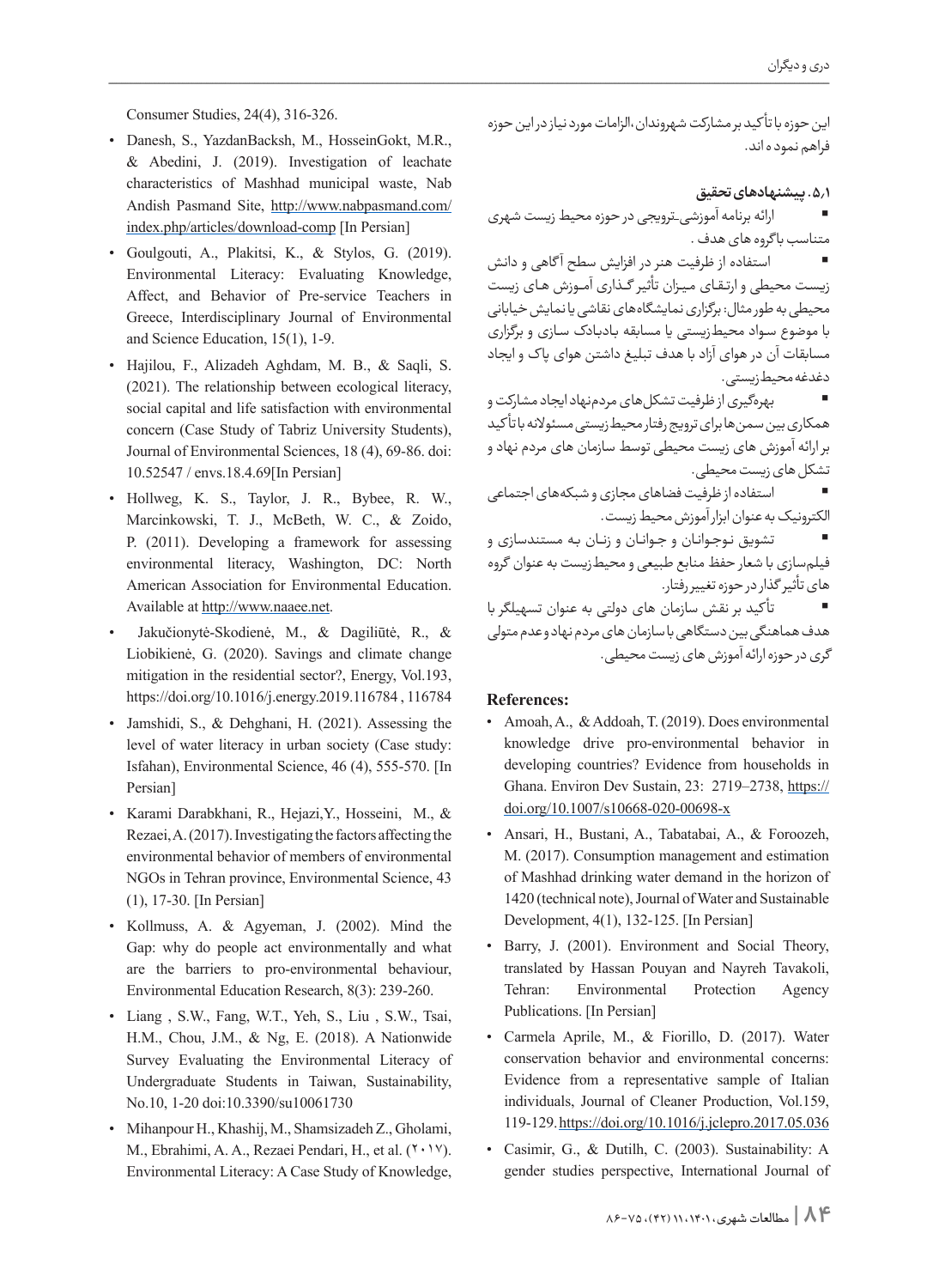Consumer Studies, 24(4), 316-326.

- Danesh, S., YazdanBacksh, M., HosseinGokt, M.R., & Abedini, J.  $(2019)$ . Investigation of leachate characteristics of Mashhad municipal waste, Nab Andish Pasmand Site, http://www.nabpasmand.com/ index.php/articles/download-comp [In Persian]
- $\bullet$  Goulgouti, A., Plakitsi, K., & Stylos, G. (2019). Environmental Literacy: Evaluating Knowledge, Affect, and Behavior of Pre-service Teachers in Greece, Interdisciplinary Journal of Environmental and Science Education,  $15(1)$ , 1-9.
- Hajilou, F., Alizadeh Aghdam, M. B., & Saqli, S.  $(2021)$ . The relationship between ecological literacy, social capital and life satisfaction with environmental concern (Case Study of Tabriz University Students), Journal of Environmental Sciences, 18 (4), 69-86. doi: 10.52547 / envs.18.4.69[In Persian]
- Hollweg, K. S., Taylor, J. R., Bybee, R. W., Marcinkowski, T. J., McBeth, W. C., & Zoido, P. (2011). Developing a framework for assessing environmental literacy, Washington, DC: North American Association for Environmental Education. Available at http://www.naaee.net.
- Jakučionytė-Skodienė, M., & Dagiliūtė, R., & Liobikienė, G. (2020). Savings and climate change mitigation in the residential sector?, Energy, Vol.193, https://doi.org/10.1016/j.energy.2019.116784, 116784
- Jamshidi, S., & Dehghani, H.  $(2021)$ . Assessing the level of water literacy in urban society (Case study: Isfahan), Environmental Science,  $46$  (4),  $555-570$ . [In Persian]
- \* Karami Darabkhani, R., Hejazi Y., Hosseini, M., & Rezaei, A. (2017). Investigating the factors affecting the environmental behavior of members of environmental NGOs in Tehran province, Environmental Science, 43  $(1)$ , 17-30. [In Persian]
- Kollmuss, A. & Agyeman, J. (2002). Mind the Gap: why do people act environmentally and what are the barriers to pro-environmental behaviour, Environmental Education Research, 8(3): 239-260.
- Liang, S.W., Fang, W.T., Yeh, S., Liu, S.W., Tsai, H.M., Chou, J.M., & Ng, E. (2018). A Nationwide Survey Evaluating the Environmental Literacy of Undergraduate Students in Taiwan, Sustainability, No.10, 1-20 doi:10.3390/su10061730
- Mihanpour H., Khashij, M., Shamsizadeh Z., Gholami,  $M_{n}$ , Ebrahimi, A. A., Rezaei Pendari, H., et al.  $(1 \cdot 1 \cdot 1)$ . Environmental Literacy: A Case Study of Knowledge,

این حوزه با تأ کید بر مشارکت شهروندان،الزامات مورد نیاز در این حوزه فراهم نمود ه اند.

### **.5.1 پیشنهادهای تحقیق**

 ارائه برنامه آموزشی\_ترویجی در حوزه محیط زیست شهری متناسب با گروه های هدف .

 استفاده از ظرفیت هنر در افزایش سطح آ گاهی و دانش زیــســت محیطی و ارتــقــای مــیــزان تأثیر گـــذاری آمـــوزش هــای زیست محیطی به طور مثال: برگزاری نمایشگاههای نقاشی یا نمایش خیابانی با موضوع ســواد محیطزیستی یا مسابقه بــادبــادک ســازی و برگزاری مسابقات آن در هوای آزاد با هدف تبلیغ داشتن هوای پا ک و ایجاد دغدغه محیطزیستی.

 بهرهگیری از ظرفیت تشکلهای مردمنهاد ایجاد مشارکت و همکاری بین سمنها برای ترویج رفتار محیطزیستی مسئوالنه با تأ کید بر ارائه آموزش های زیست محیطی توسط سازمان های مردم نهاد و تشکل های زیست محیطی.

 استفاده از ظرفیت فضاهای مجازی و شبکههای اجتماعی الکترونیک به عنوان ابزار آموزش محیط زیست.

تشویق نـوجـوانـان و جــوانـان و زنــان بـه مستندسازی و فیلمسازی با شعار حفظ منابع طبیعی و محیطزیست به عنوان گروه های تأثیر گذار در حوزه تغییر رفتار.

 تأ کید بر نقش سازمان های دولتی به عنوان تسهیلگر با هدف هماهنگی بین دستگاهی با سازمان های مردم نهاد و عدم متولی گری در حوزه ارائه آموزش های زیست محیطی.

#### **:References**

- Amoah, A., & Addoah, T. (2019). Does environmental knowledge drive pro-environmental behavior in developing countries? Evidence from households in Ghana. Environ Dev Sustain, 23: 2719 - 2738, https:// doi.org/10.1007/s10668-020-00698-x
- Ansari, H., Bustani, A., Tabatabai, A., & Foroozeh, M. (2017). Consumption management and estimation of Mashhad drinking water demand in the horizon of 1420 (technical note), Journal of Water and Sustainable Development,  $4(1)$ , 132-125. [In Persian]
- Barry, J. (2001). Environment and Social Theory, translated by Hassan Pouyan and Nayreh Tavakoli, Tehran: Environmental Protection Agency Publications. [In Persian]
- · Carmela Aprile, M., & Fiorillo, D. (2017). Water conservation behavior and environmental concerns: Evidence from a representative sample of Italian individuals, Journal of Cleaner Production, Vol.159, 119-129. https://doi.org/10.1016/j.jclepro.2017.05.036
- Casimir, G., & Dutilh, C. (2003). Sustainability: A gender studies perspective, International Journal of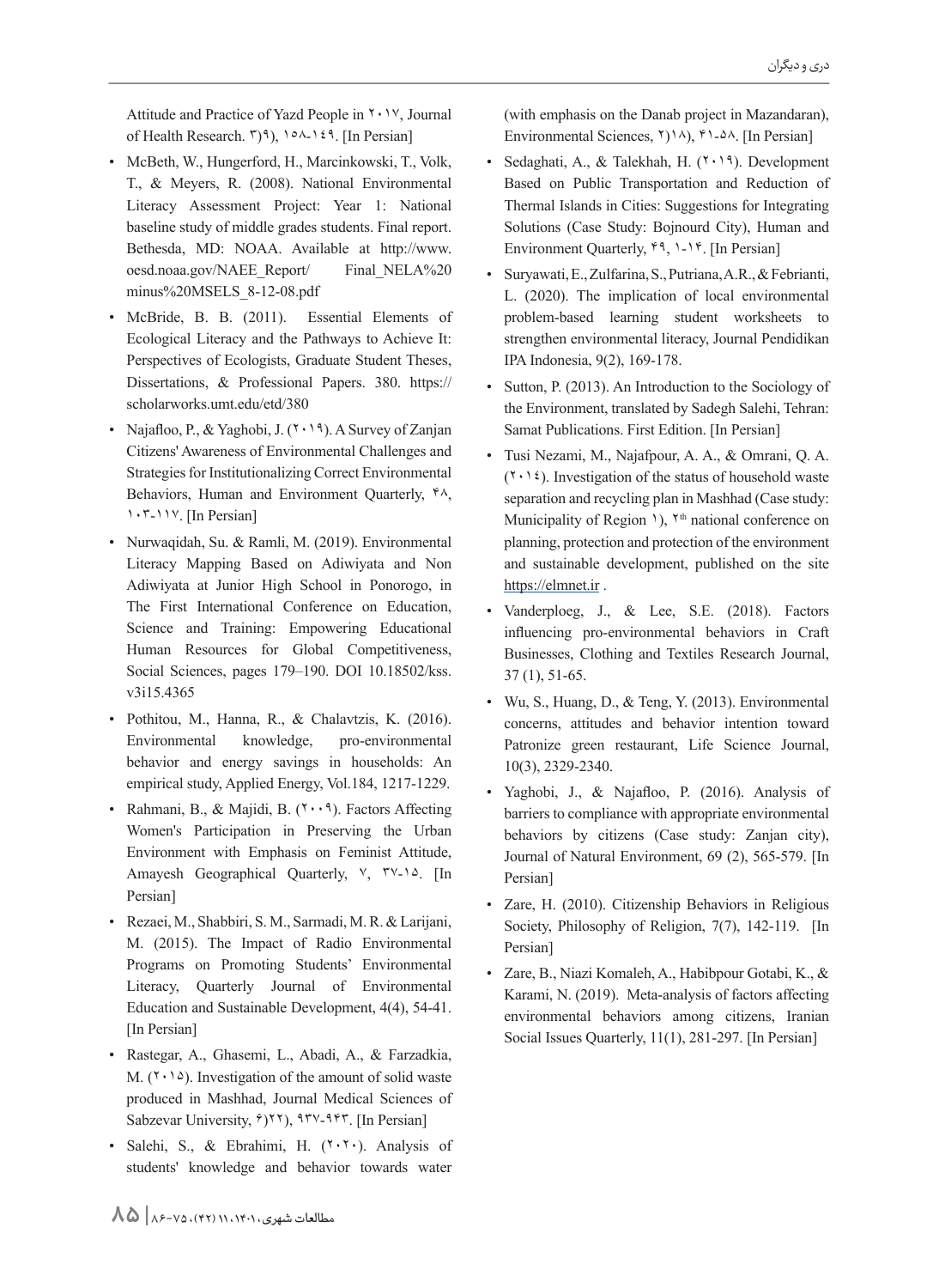Attitude and Practice of Yazd People in  $\gamma \cdot \gamma$ , Journal of Health Research.  $\binom{p}{3}$ ,  $\binom{p}{3}$ ,  $\binom{p}{3}$ . [In Persian]

- McBeth, W., Hungerford, H., Marcinkowski, T., Volk, T., & Meyers, R. (2008). National Environmental Literacy Assessment Project: Year 1: National baseline study of middle grades students. Final report. Bethesda, MD: NOAA. Available at http://www. oesd.noaa.gov/NAEE Report/ Final NELA%20 minus%20MSELS 8-12-08.pdf
- McBride, B. B. (2011). Essential Elements of Ecological Literacy and the Pathways to Achieve It: Perspectives of Ecologists, Graduate Student Theses, Dissertations, & Professional Papers. 380. https:// scholarworks.umt.edu/etd/380
- Najafloo, P., & Yaghobi, J.  $(7 \cdot 19)$ . A Survey of Zanjan Citizens' Awareness of Environmental Challenges and Strategies for Institutionalizing Correct Environmental Behaviors, Human and Environment Quarterly,  $44$ , 1. T-11Y. [In Persian]
- Nurwaqidah, Su. & Ramli, M. (2019). Environmental Literacy Mapping Based on Adiwiyata and Non Adiwiyata at Junior High School in Ponorogo, in The First International Conference on Education, Science and Training: Empowering Educational Human Resources for Global Competitiveness, Social Sciences, pages 179-190. DOI 10.18502/kss. v3i15.4365
- · Pothitou, M., Hanna, R., & Chalavtzis, K. (2016). Environmental knowledge, pro-environmental behavior and energy savings in households: An empirical study, Applied Energy, Vol.184, 1217-1229.
- Rahmani, B., & Majidi, B.  $(1 \cdot \cdot 1)$ . Factors Affecting Women's Participation in Preserving the Urban Environment with Emphasis on Feminist Attitude, Amayesh Geographical Quarterly, V, TV-14. [In Persian]
- Rezaei, M., Shabbiri, S. M., Sarmadi, M. R. & Larijani, M. (2015). The Impact of Radio Environmental Programs on Promoting Students' Environmental Literacy, Quarterly Journal of Environmental Education and Sustainable Development,  $4(4)$ ,  $54-41$ . [In Persian]
- Rastegar, A., Ghasemi, L., Abadi, A., & Farzadkia, M.  $(1 \cdot 1)$ . Investigation of the amount of solid waste produced in Mashhad, Journal Medical Sciences of Sabzevar University,  $\hat{y}$ ,  $\hat{y}$ ,  $\hat{y}$ ,  $\hat{y}$ ,  $\hat{y}$ ,  $\hat{y}$ ,  $\hat{y}$ ,  $\hat{y}$ ,  $\hat{y}$ ,  $\hat{y}$ ,  $\hat{y}$ ,  $\hat{y}$ ,  $\hat{y}$ ,  $\hat{y}$ ,  $\hat{y}$ ,  $\hat{y}$ ,  $\hat{y}$ ,  $\hat{y}$ ,  $\hat{y}$ ,  $\hat{y}$ ,  $\hat{y}$ ,  $\hat{y}$ ,  $\$
- Salehi, S., & Ebrahimi, H. (٢٠٢٠). Analysis of students' knowledge and behavior towards water

(with emphasis on the Danab project in Mazandaran), Environmental Sciences,  $\{\gamma\}\$ .  $\land$ ,  $\{\text{In Persian}\}$ 

- Sedaghati, A., & Talekhah, H.  $(7 \cdot 19)$ . Development Based on Public Transportation and Reduction of Thermal Islands in Cities: Suggestions for Integrating Solutions (Case Study: Bojnourd City), Human and Environment Quarterly,  $4, 1 - 14$ . [In Persian]
- Suryawati, E., Zulfarina, S., Putriana, A.R., & Febrianti, L. (2020). The implication of local environmental problem-based learning student worksheets to strengthen environmental literacy, Journal Pendidikan IPA Indonesia, 9(2), 169-178.
- Sutton, P. (2013). An Introduction to the Sociology of the Environment, translated by Sadegh Salehi, Tehran: Samat Publications. First Edition. [In Persian]
- Tusi Nezami, M., Najafpour, A. A., & Omrani, Q. A.  $(Y \cdot Y)$ . Investigation of the status of household waste separation and recycling plan in Mashhad (Case study: Municipality of Region 1), Y<sup>th</sup> national conference on planning, protection and protection of the environment and sustainable development, published on the site https://elmnet.ir.
- Vanderploeg, J., & Lee, S.E. (2018). Factors influencing pro-environmental behaviors in Craft Businesses, Clothing and Textiles Research Journal,  $37(1)$ ,  $51-65$ .
- Wu, S., Huang, D., & Teng, Y. (2013). Environmental concerns, attitudes and behavior intention toward Patronize green restaurant, Life Science Journal, 10(3), 2329-2340.
- · Yaghobi, J., & Najafloo, P. (2016). Analysis of barriers to compliance with appropriate environmental behaviors by citizens (Case study: Zanjan city), Journal of Natural Environment, 69 (2), 565-579. [In Persian]
- Zare, H. (2010). Citizenship Behaviors in Religious Society, Philosophy of Religion, 7(7), 142-119. [In Persian]
- \* Zare, B., Niazi Komaleh, A., Habibpour Gotabi, K., & Karami, N. (2019). Meta-analysis of factors affecting environmental behaviors among citizens, Iranian Social Issues Quarterly,  $11(1)$ ,  $281-297$ . [In Persian]